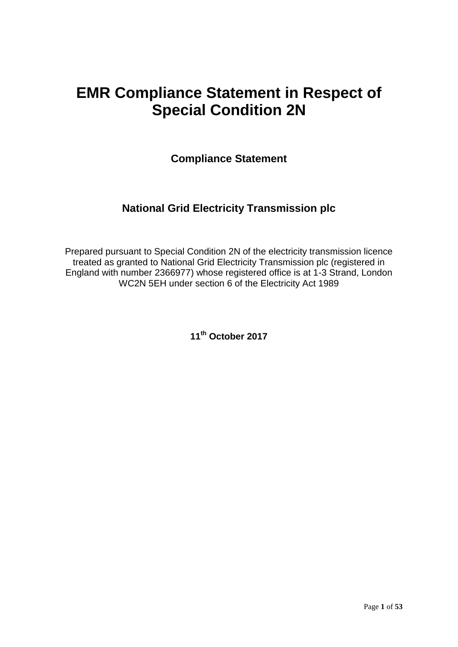## **EMR Compliance Statement in Respect of Special Condition 2N**

**Compliance Statement**

## **National Grid Electricity Transmission plc**

Prepared pursuant to Special Condition 2N of the electricity transmission licence treated as granted to National Grid Electricity Transmission plc (registered in England with number 2366977) whose registered office is at 1-3 Strand, London WC2N 5EH under section 6 of the Electricity Act 1989

**11th October 2017**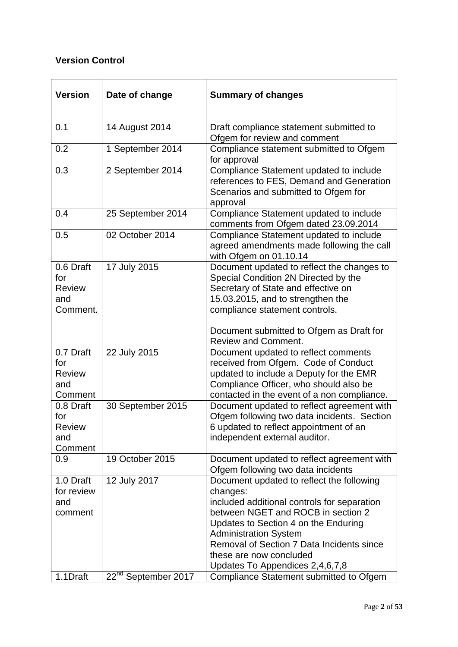## **Version Control**

| <b>Version</b>                                       | Date of change                  | <b>Summary of changes</b>                                                                                                                                                                                                                                                                                                     |  |
|------------------------------------------------------|---------------------------------|-------------------------------------------------------------------------------------------------------------------------------------------------------------------------------------------------------------------------------------------------------------------------------------------------------------------------------|--|
| 0.1                                                  | 14 August 2014                  | Draft compliance statement submitted to<br>Ofgem for review and comment                                                                                                                                                                                                                                                       |  |
| 0.2                                                  | 1 September 2014                | Compliance statement submitted to Ofgem<br>for approval                                                                                                                                                                                                                                                                       |  |
| 0.3                                                  | 2 September 2014                | Compliance Statement updated to include<br>references to FES, Demand and Generation<br>Scenarios and submitted to Ofgem for<br>approval                                                                                                                                                                                       |  |
| 0.4                                                  | 25 September 2014               | Compliance Statement updated to include<br>comments from Ofgem dated 23.09.2014                                                                                                                                                                                                                                               |  |
| 0.5                                                  | 02 October 2014                 | Compliance Statement updated to include<br>agreed amendments made following the call<br>with Ofgem on 01.10.14                                                                                                                                                                                                                |  |
| 0.6 Draft<br>for<br><b>Review</b><br>and<br>Comment. | 17 July 2015                    | Document updated to reflect the changes to<br>Special Condition 2N Directed by the<br>Secretary of State and effective on<br>15.03.2015, and to strengthen the<br>compliance statement controls.<br>Document submitted to Ofgem as Draft for<br><b>Review and Comment.</b>                                                    |  |
| 0.7 Draft<br>for<br><b>Review</b><br>and<br>Comment  | 22 July 2015                    | Document updated to reflect comments<br>received from Ofgem. Code of Conduct<br>updated to include a Deputy for the EMR<br>Compliance Officer, who should also be<br>contacted in the event of a non compliance.                                                                                                              |  |
| 0.8 Draft<br>for<br>Review<br>and<br>Comment         | 30 September 2015               | Document updated to reflect agreement with<br>Ofgem following two data incidents. Section<br>6 updated to reflect appointment of an<br>independent external auditor.                                                                                                                                                          |  |
| 0.9                                                  | 19 October 2015                 | Document updated to reflect agreement with<br>Ofgem following two data incidents                                                                                                                                                                                                                                              |  |
| 1.0 Draft<br>for review<br>and<br>comment            | 12 July 2017                    | Document updated to reflect the following<br>changes:<br>included additional controls for separation<br>between NGET and ROCB in section 2<br>Updates to Section 4 on the Enduring<br><b>Administration System</b><br>Removal of Section 7 Data Incidents since<br>these are now concluded<br>Updates To Appendices 2,4,6,7,8 |  |
| 1.1Draft                                             | 22 <sup>nd</sup> September 2017 | Compliance Statement submitted to Ofgem                                                                                                                                                                                                                                                                                       |  |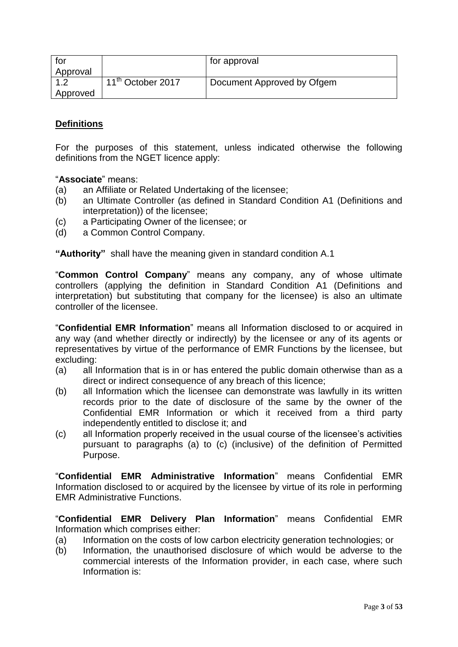| tor<br>Approval |                     | for approval               |
|-----------------|---------------------|----------------------------|
| Approved        | $11th$ October 2017 | Document Approved by Ofgem |

## **Definitions**

For the purposes of this statement, unless indicated otherwise the following definitions from the NGET licence apply:

#### "**Associate**" means:

- (a) an Affiliate or Related Undertaking of the licensee;
- (b) an Ultimate Controller (as defined in Standard Condition A1 (Definitions and interpretation)) of the licensee;
- (c) a Participating Owner of the licensee; or
- (d) a Common Control Company.

**"Authority"** shall have the meaning given in standard condition A.1

"**Common Control Company**" means any company, any of whose ultimate controllers (applying the definition in Standard Condition A1 (Definitions and interpretation) but substituting that company for the licensee) is also an ultimate controller of the licensee.

"**Confidential EMR Information**" means all Information disclosed to or acquired in any way (and whether directly or indirectly) by the licensee or any of its agents or representatives by virtue of the performance of EMR Functions by the licensee, but excluding:

- (a) all Information that is in or has entered the public domain otherwise than as a direct or indirect consequence of any breach of this licence;
- (b) all Information which the licensee can demonstrate was lawfully in its written records prior to the date of disclosure of the same by the owner of the Confidential EMR Information or which it received from a third party independently entitled to disclose it; and
- (c) all Information properly received in the usual course of the licensee's activities pursuant to paragraphs (a) to (c) (inclusive) of the definition of Permitted Purpose.

"**Confidential EMR Administrative Information**" means Confidential EMR Information disclosed to or acquired by the licensee by virtue of its role in performing EMR Administrative Functions.

"**Confidential EMR Delivery Plan Information**" means Confidential EMR Information which comprises either:

- (a) Information on the costs of low carbon electricity generation technologies; or
- (b) Information, the unauthorised disclosure of which would be adverse to the commercial interests of the Information provider, in each case, where such Information is: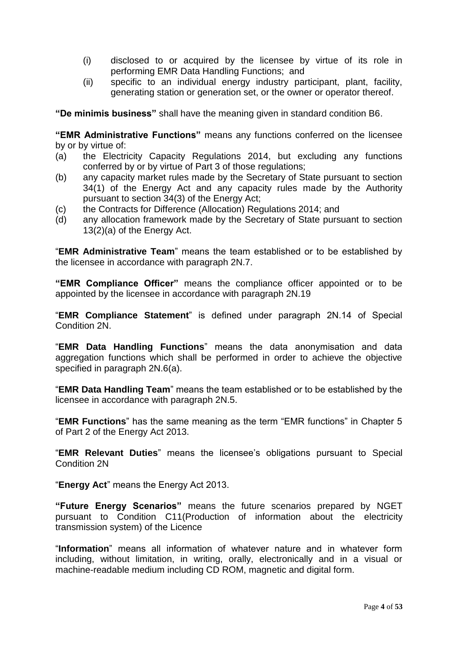- (i) disclosed to or acquired by the licensee by virtue of its role in performing EMR Data Handling Functions; and
- (ii) specific to an individual energy industry participant, plant, facility, generating station or generation set, or the owner or operator thereof.

**"De minimis business"** shall have the meaning given in standard condition B6.

**"EMR Administrative Functions"** means any functions conferred on the licensee by or by virtue of:

- (a) the Electricity Capacity Regulations 2014, but excluding any functions conferred by or by virtue of Part 3 of those regulations;
- (b) any capacity market rules made by the Secretary of State pursuant to section 34(1) of the Energy Act and any capacity rules made by the Authority pursuant to section 34(3) of the Energy Act;
- (c) the Contracts for Difference (Allocation) Regulations 2014; and
- (d) any allocation framework made by the Secretary of State pursuant to section 13(2)(a) of the Energy Act.

"**EMR Administrative Team**" means the team established or to be established by the licensee in accordance with paragraph 2N.7.

**"EMR Compliance Officer"** means the compliance officer appointed or to be appointed by the licensee in accordance with paragraph 2N.19

"**EMR Compliance Statement**" is defined under paragraph 2N.14 of Special Condition 2N.

"**EMR Data Handling Functions**" means the data anonymisation and data aggregation functions which shall be performed in order to achieve the objective specified in paragraph 2N.6(a).

"**EMR Data Handling Team**" means the team established or to be established by the licensee in accordance with paragraph 2N.5.

"**EMR Functions**" has the same meaning as the term "EMR functions" in Chapter 5 of Part 2 of the Energy Act 2013.

"**EMR Relevant Duties**" means the licensee's obligations pursuant to Special Condition 2N

"**Energy Act**" means the Energy Act 2013.

**"Future Energy Scenarios"** means the future scenarios prepared by NGET pursuant to Condition C11(Production of information about the electricity transmission system) of the Licence

"**Information**" means all information of whatever nature and in whatever form including, without limitation, in writing, orally, electronically and in a visual or machine-readable medium including CD ROM, magnetic and digital form.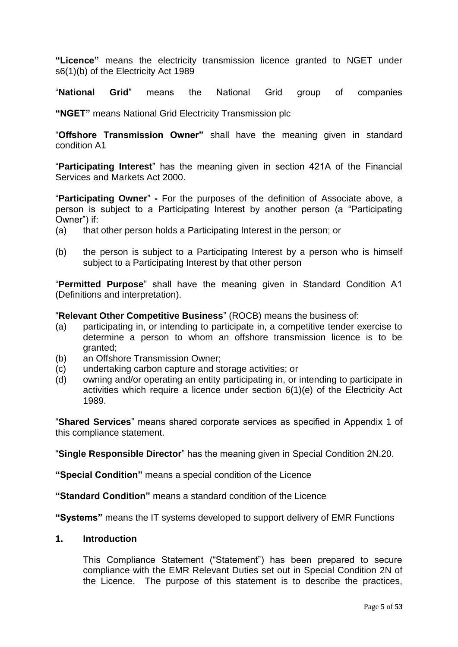**"Licence"** means the electricity transmission licence granted to NGET under s6(1)(b) of the Electricity Act 1989

"**National Grid**" means the National Grid group of companies

**"NGET"** means National Grid Electricity Transmission plc

"**Offshore Transmission Owner"** shall have the meaning given in standard condition A1

"**Participating Interest**" has the meaning given in section 421A of the Financial Services and Markets Act 2000.

"**Participating Owner**" **-** For the purposes of the definition of Associate above, a person is subject to a Participating Interest by another person (a "Participating Owner") if:

- (a) that other person holds a Participating Interest in the person; or
- (b) the person is subject to a Participating Interest by a person who is himself subject to a Participating Interest by that other person

"**Permitted Purpose**" shall have the meaning given in Standard Condition A1 (Definitions and interpretation).

"**Relevant Other Competitive Business**" (ROCB) means the business of:

- (a) participating in, or intending to participate in, a competitive tender exercise to determine a person to whom an offshore transmission licence is to be granted;
- (b) an Offshore Transmission Owner;
- (c) undertaking carbon capture and storage activities; or
- (d) owning and/or operating an entity participating in, or intending to participate in activities which require a licence under section 6(1)(e) of the Electricity Act 1989.

"**Shared Services**" means shared corporate services as specified in Appendix 1 of this compliance statement.

"**Single Responsible Director**" has the meaning given in Special Condition 2N.20.

**"Special Condition"** means a special condition of the Licence

**"Standard Condition"** means a standard condition of the Licence

**"Systems"** means the IT systems developed to support delivery of EMR Functions

## **1. Introduction**

This Compliance Statement ("Statement") has been prepared to secure compliance with the EMR Relevant Duties set out in Special Condition 2N of the Licence. The purpose of this statement is to describe the practices,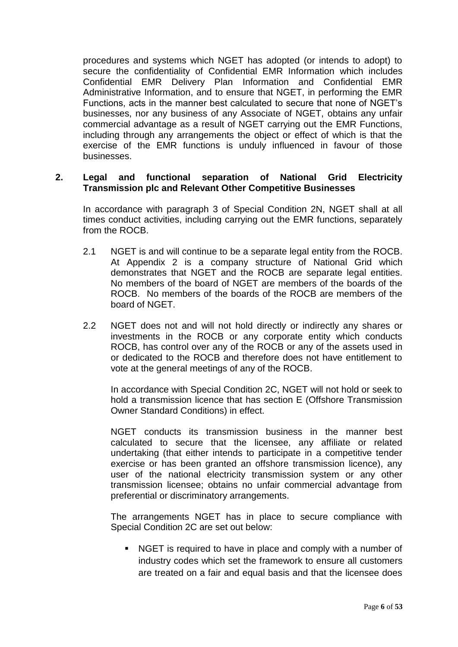procedures and systems which NGET has adopted (or intends to adopt) to secure the confidentiality of Confidential EMR Information which includes Confidential EMR Delivery Plan Information and Confidential EMR Administrative Information, and to ensure that NGET, in performing the EMR Functions, acts in the manner best calculated to secure that none of NGET's businesses, nor any business of any Associate of NGET, obtains any unfair commercial advantage as a result of NGET carrying out the EMR Functions, including through any arrangements the object or effect of which is that the exercise of the EMR functions is unduly influenced in favour of those businesses.

#### **2. Legal and functional separation of National Grid Electricity Transmission plc and Relevant Other Competitive Businesses**

In accordance with paragraph 3 of Special Condition 2N, NGET shall at all times conduct activities, including carrying out the EMR functions, separately from the ROCB.

- 2.1 NGET is and will continue to be a separate legal entity from the ROCB. At Appendix 2 is a company structure of National Grid which demonstrates that NGET and the ROCB are separate legal entities. No members of the board of NGET are members of the boards of the ROCB. No members of the boards of the ROCB are members of the board of NGET.
- 2.2 NGET does not and will not hold directly or indirectly any shares or investments in the ROCB or any corporate entity which conducts ROCB, has control over any of the ROCB or any of the assets used in or dedicated to the ROCB and therefore does not have entitlement to vote at the general meetings of any of the ROCB.

In accordance with Special Condition 2C, NGET will not hold or seek to hold a transmission licence that has section E (Offshore Transmission Owner Standard Conditions) in effect.

NGET conducts its transmission business in the manner best calculated to secure that the licensee, any affiliate or related undertaking (that either intends to participate in a competitive tender exercise or has been granted an offshore transmission licence), any user of the national electricity transmission system or any other transmission licensee; obtains no unfair commercial advantage from preferential or discriminatory arrangements.

The arrangements NGET has in place to secure compliance with Special Condition 2C are set out below:

 NGET is required to have in place and comply with a number of industry codes which set the framework to ensure all customers are treated on a fair and equal basis and that the licensee does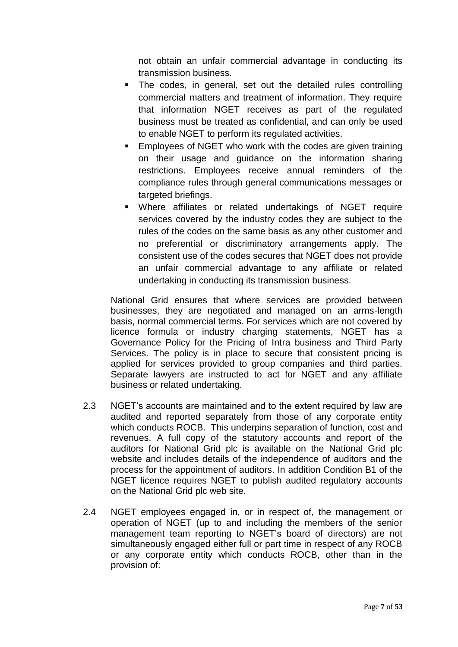not obtain an unfair commercial advantage in conducting its transmission business.

- The codes, in general, set out the detailed rules controlling commercial matters and treatment of information. They require that information NGET receives as part of the regulated business must be treated as confidential, and can only be used to enable NGET to perform its regulated activities.
- **Employees of NGET who work with the codes are given training** on their usage and guidance on the information sharing restrictions. Employees receive annual reminders of the compliance rules through general communications messages or targeted briefings.
- Where affiliates or related undertakings of NGET require services covered by the industry codes they are subject to the rules of the codes on the same basis as any other customer and no preferential or discriminatory arrangements apply. The consistent use of the codes secures that NGET does not provide an unfair commercial advantage to any affiliate or related undertaking in conducting its transmission business.

National Grid ensures that where services are provided between businesses, they are negotiated and managed on an arms-length basis, normal commercial terms. For services which are not covered by licence formula or industry charging statements, NGET has a Governance Policy for the Pricing of Intra business and Third Party Services. The policy is in place to secure that consistent pricing is applied for services provided to group companies and third parties. Separate lawyers are instructed to act for NGET and any affiliate business or related undertaking.

- 2.3 NGET's accounts are maintained and to the extent required by law are audited and reported separately from those of any corporate entity which conducts ROCB. This underpins separation of function, cost and revenues. A full copy of the statutory accounts and report of the auditors for National Grid plc is available on the National Grid plc website and includes details of the independence of auditors and the process for the appointment of auditors. In addition Condition B1 of the NGET licence requires NGET to publish audited regulatory accounts on the National Grid plc web site.
- 2.4 NGET employees engaged in, or in respect of, the management or operation of NGET (up to and including the members of the senior management team reporting to NGET's board of directors) are not simultaneously engaged either full or part time in respect of any ROCB or any corporate entity which conducts ROCB, other than in the provision of: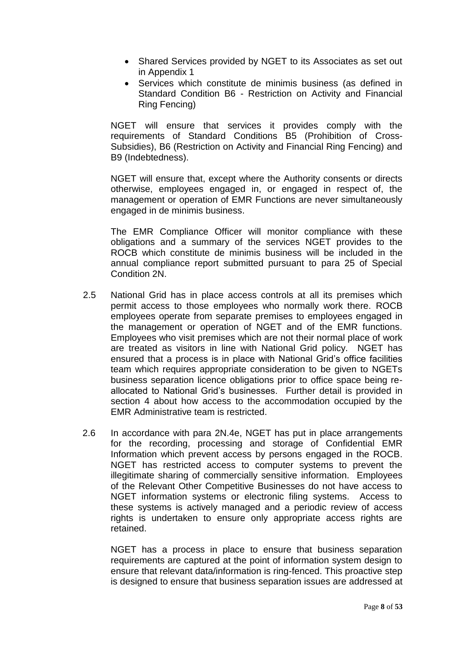- Shared Services provided by NGET to its Associates as set out in Appendix 1
- Services which constitute de minimis business (as defined in Standard Condition B6 - Restriction on Activity and Financial Ring Fencing)

NGET will ensure that services it provides comply with the requirements of Standard Conditions B5 (Prohibition of Cross-Subsidies), B6 (Restriction on Activity and Financial Ring Fencing) and B9 (Indebtedness).

NGET will ensure that, except where the Authority consents or directs otherwise, employees engaged in, or engaged in respect of, the management or operation of EMR Functions are never simultaneously engaged in de minimis business.

The EMR Compliance Officer will monitor compliance with these obligations and a summary of the services NGET provides to the ROCB which constitute de minimis business will be included in the annual compliance report submitted pursuant to para 25 of Special Condition 2N.

- 2.5 National Grid has in place access controls at all its premises which permit access to those employees who normally work there. ROCB employees operate from separate premises to employees engaged in the management or operation of NGET and of the EMR functions. Employees who visit premises which are not their normal place of work are treated as visitors in line with National Grid policy. NGET has ensured that a process is in place with National Grid's office facilities team which requires appropriate consideration to be given to NGETs business separation licence obligations prior to office space being reallocated to National Grid's businesses. Further detail is provided in section 4 about how access to the accommodation occupied by the EMR Administrative team is restricted.
- 2.6 In accordance with para 2N.4e, NGET has put in place arrangements for the recording, processing and storage of Confidential EMR Information which prevent access by persons engaged in the ROCB. NGET has restricted access to computer systems to prevent the illegitimate sharing of commercially sensitive information. Employees of the Relevant Other Competitive Businesses do not have access to NGET information systems or electronic filing systems. Access to these systems is actively managed and a periodic review of access rights is undertaken to ensure only appropriate access rights are retained.

NGET has a process in place to ensure that business separation requirements are captured at the point of information system design to ensure that relevant data/information is ring-fenced. This proactive step is designed to ensure that business separation issues are addressed at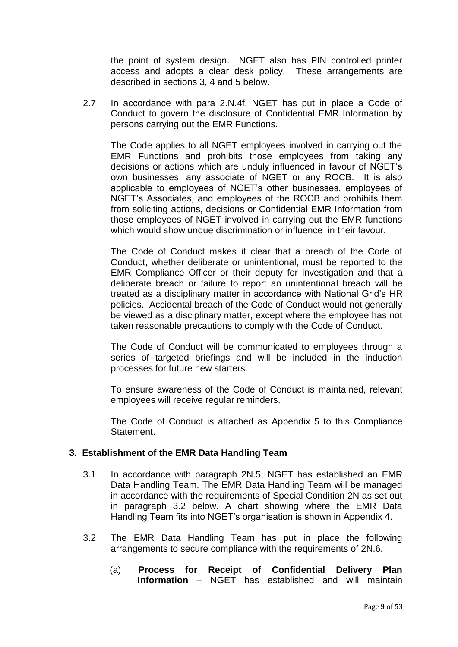the point of system design. NGET also has PIN controlled printer access and adopts a clear desk policy. These arrangements are described in sections 3, 4 and 5 below.

2.7 In accordance with para 2.N.4f, NGET has put in place a Code of Conduct to govern the disclosure of Confidential EMR Information by persons carrying out the EMR Functions.

The Code applies to all NGET employees involved in carrying out the EMR Functions and prohibits those employees from taking any decisions or actions which are unduly influenced in favour of NGET's own businesses, any associate of NGET or any ROCB. It is also applicable to employees of NGET's other businesses, employees of NGET's Associates, and employees of the ROCB and prohibits them from soliciting actions, decisions or Confidential EMR Information from those employees of NGET involved in carrying out the EMR functions which would show undue discrimination or influence in their favour.

The Code of Conduct makes it clear that a breach of the Code of Conduct, whether deliberate or unintentional, must be reported to the EMR Compliance Officer or their deputy for investigation and that a deliberate breach or failure to report an unintentional breach will be treated as a disciplinary matter in accordance with National Grid's HR policies. Accidental breach of the Code of Conduct would not generally be viewed as a disciplinary matter, except where the employee has not taken reasonable precautions to comply with the Code of Conduct.

The Code of Conduct will be communicated to employees through a series of targeted briefings and will be included in the induction processes for future new starters.

To ensure awareness of the Code of Conduct is maintained, relevant employees will receive regular reminders.

The Code of Conduct is attached as Appendix 5 to this Compliance Statement.

## **3. Establishment of the EMR Data Handling Team**

- 3.1 In accordance with paragraph 2N.5, NGET has established an EMR Data Handling Team. The EMR Data Handling Team will be managed in accordance with the requirements of Special Condition 2N as set out in paragraph 3.2 below. A chart showing where the EMR Data Handling Team fits into NGET's organisation is shown in Appendix 4.
- 3.2 The EMR Data Handling Team has put in place the following arrangements to secure compliance with the requirements of 2N.6.
	- (a) **Process for Receipt of Confidential Delivery Plan Information** – NGET has established and will maintain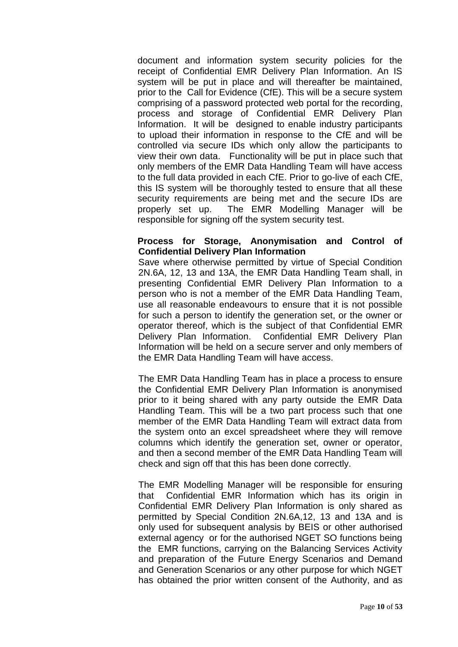document and information system security policies for the receipt of Confidential EMR Delivery Plan Information. An IS system will be put in place and will thereafter be maintained, prior to the Call for Evidence (CfE). This will be a secure system comprising of a password protected web portal for the recording, process and storage of Confidential EMR Delivery Plan Information. It will be designed to enable industry participants to upload their information in response to the CfE and will be controlled via secure IDs which only allow the participants to view their own data. Functionality will be put in place such that only members of the EMR Data Handling Team will have access to the full data provided in each CfE. Prior to go-live of each CfE, this IS system will be thoroughly tested to ensure that all these security requirements are being met and the secure IDs are properly set up. The EMR Modelling Manager will be responsible for signing off the system security test.

#### **Process for Storage, Anonymisation and Control of Confidential Delivery Plan Information**

Save where otherwise permitted by virtue of Special Condition 2N.6A, 12, 13 and 13A, the EMR Data Handling Team shall, in presenting Confidential EMR Delivery Plan Information to a person who is not a member of the EMR Data Handling Team, use all reasonable endeavours to ensure that it is not possible for such a person to identify the generation set, or the owner or operator thereof, which is the subject of that Confidential EMR Delivery Plan Information. Confidential EMR Delivery Plan Information will be held on a secure server and only members of the EMR Data Handling Team will have access.

The EMR Data Handling Team has in place a process to ensure the Confidential EMR Delivery Plan Information is anonymised prior to it being shared with any party outside the EMR Data Handling Team. This will be a two part process such that one member of the EMR Data Handling Team will extract data from the system onto an excel spreadsheet where they will remove columns which identify the generation set, owner or operator, and then a second member of the EMR Data Handling Team will check and sign off that this has been done correctly.

The EMR Modelling Manager will be responsible for ensuring that Confidential EMR Information which has its origin in Confidential EMR Delivery Plan Information is only shared as permitted by Special Condition 2N.6A,12, 13 and 13A and is only used for subsequent analysis by BEIS or other authorised external agency or for the authorised NGET SO functions being the EMR functions, carrying on the Balancing Services Activity and preparation of the Future Energy Scenarios and Demand and Generation Scenarios or any other purpose for which NGET has obtained the prior written consent of the Authority, and as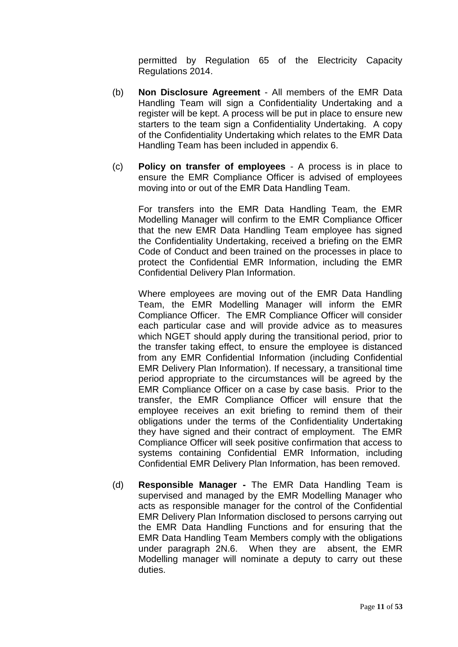permitted by Regulation 65 of the Electricity Capacity Regulations 2014.

- (b) **Non Disclosure Agreement** All members of the EMR Data Handling Team will sign a Confidentiality Undertaking and a register will be kept. A process will be put in place to ensure new starters to the team sign a Confidentiality Undertaking. A copy of the Confidentiality Undertaking which relates to the EMR Data Handling Team has been included in appendix 6.
- (c) **Policy on transfer of employees** A process is in place to ensure the EMR Compliance Officer is advised of employees moving into or out of the EMR Data Handling Team.

For transfers into the EMR Data Handling Team, the EMR Modelling Manager will confirm to the EMR Compliance Officer that the new EMR Data Handling Team employee has signed the Confidentiality Undertaking, received a briefing on the EMR Code of Conduct and been trained on the processes in place to protect the Confidential EMR Information, including the EMR Confidential Delivery Plan Information.

Where employees are moving out of the EMR Data Handling Team, the EMR Modelling Manager will inform the EMR Compliance Officer. The EMR Compliance Officer will consider each particular case and will provide advice as to measures which NGET should apply during the transitional period, prior to the transfer taking effect, to ensure the employee is distanced from any EMR Confidential Information (including Confidential EMR Delivery Plan Information). If necessary, a transitional time period appropriate to the circumstances will be agreed by the EMR Compliance Officer on a case by case basis. Prior to the transfer, the EMR Compliance Officer will ensure that the employee receives an exit briefing to remind them of their obligations under the terms of the Confidentiality Undertaking they have signed and their contract of employment. The EMR Compliance Officer will seek positive confirmation that access to systems containing Confidential EMR Information, including Confidential EMR Delivery Plan Information, has been removed.

(d) **Responsible Manager -** The EMR Data Handling Team is supervised and managed by the EMR Modelling Manager who acts as responsible manager for the control of the Confidential EMR Delivery Plan Information disclosed to persons carrying out the EMR Data Handling Functions and for ensuring that the EMR Data Handling Team Members comply with the obligations under paragraph 2N.6. When they are absent, the EMR Modelling manager will nominate a deputy to carry out these duties.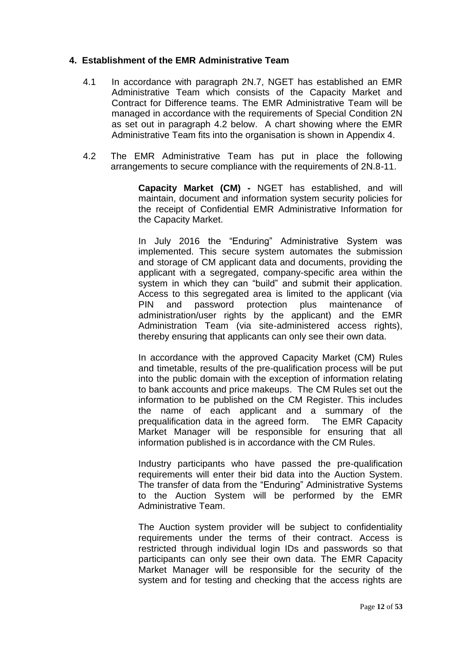## **4. Establishment of the EMR Administrative Team**

- 4.1 In accordance with paragraph 2N.7, NGET has established an EMR Administrative Team which consists of the Capacity Market and Contract for Difference teams. The EMR Administrative Team will be managed in accordance with the requirements of Special Condition 2N as set out in paragraph 4.2 below. A chart showing where the EMR Administrative Team fits into the organisation is shown in Appendix 4.
- 4.2 The EMR Administrative Team has put in place the following arrangements to secure compliance with the requirements of 2N.8-11.

**Capacity Market (CM) -** NGET has established, and will maintain, document and information system security policies for the receipt of Confidential EMR Administrative Information for the Capacity Market.

In July 2016 the "Enduring" Administrative System was implemented. This secure system automates the submission and storage of CM applicant data and documents, providing the applicant with a segregated, company-specific area within the system in which they can "build" and submit their application. Access to this segregated area is limited to the applicant (via PIN and password protection plus maintenance of administration/user rights by the applicant) and the EMR Administration Team (via site-administered access rights), thereby ensuring that applicants can only see their own data.

In accordance with the approved Capacity Market (CM) Rules and timetable, results of the pre-qualification process will be put into the public domain with the exception of information relating to bank accounts and price makeups. The CM Rules set out the information to be published on the CM Register. This includes the name of each applicant and a summary of the prequalification data in the agreed form. The EMR Capacity Market Manager will be responsible for ensuring that all information published is in accordance with the CM Rules.

Industry participants who have passed the pre-qualification requirements will enter their bid data into the Auction System. The transfer of data from the "Enduring" Administrative Systems to the Auction System will be performed by the EMR Administrative Team.

The Auction system provider will be subject to confidentiality requirements under the terms of their contract. Access is restricted through individual login IDs and passwords so that participants can only see their own data. The EMR Capacity Market Manager will be responsible for the security of the system and for testing and checking that the access rights are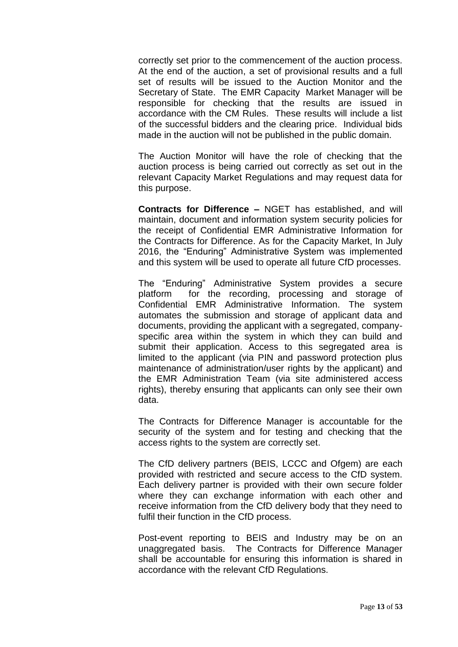correctly set prior to the commencement of the auction process. At the end of the auction, a set of provisional results and a full set of results will be issued to the Auction Monitor and the Secretary of State. The EMR Capacity Market Manager will be responsible for checking that the results are issued in accordance with the CM Rules. These results will include a list of the successful bidders and the clearing price. Individual bids made in the auction will not be published in the public domain.

The Auction Monitor will have the role of checking that the auction process is being carried out correctly as set out in the relevant Capacity Market Regulations and may request data for this purpose.

**Contracts for Difference –** NGET has established, and will maintain, document and information system security policies for the receipt of Confidential EMR Administrative Information for the Contracts for Difference. As for the Capacity Market, In July 2016, the "Enduring" Administrative System was implemented and this system will be used to operate all future CfD processes.

The "Enduring" Administrative System provides a secure platform for the recording, processing and storage of Confidential EMR Administrative Information. The system automates the submission and storage of applicant data and documents, providing the applicant with a segregated, companyspecific area within the system in which they can build and submit their application. Access to this segregated area is limited to the applicant (via PIN and password protection plus maintenance of administration/user rights by the applicant) and the EMR Administration Team (via site administered access rights), thereby ensuring that applicants can only see their own data.

The Contracts for Difference Manager is accountable for the security of the system and for testing and checking that the access rights to the system are correctly set.

The CfD delivery partners (BEIS, LCCC and Ofgem) are each provided with restricted and secure access to the CfD system. Each delivery partner is provided with their own secure folder where they can exchange information with each other and receive information from the CfD delivery body that they need to fulfil their function in the CfD process.

Post-event reporting to BEIS and Industry may be on an unaggregated basis. The Contracts for Difference Manager shall be accountable for ensuring this information is shared in accordance with the relevant CfD Regulations.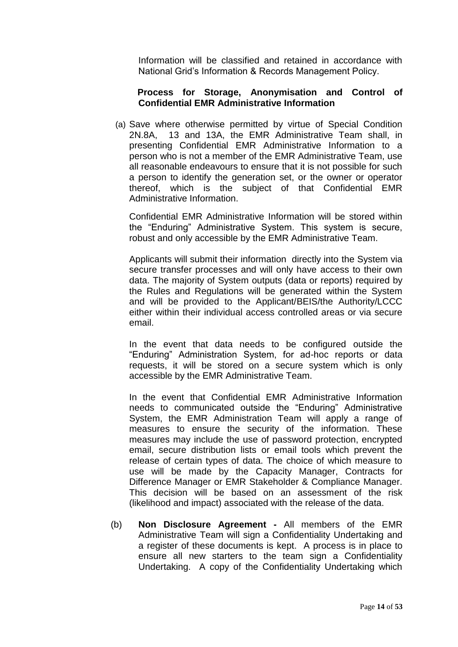Information will be classified and retained in accordance with National Grid's Information & Records Management Policy.

#### **Process for Storage, Anonymisation and Control of Confidential EMR Administrative Information**

(a) Save where otherwise permitted by virtue of Special Condition 2N.8A, 13 and 13A, the EMR Administrative Team shall, in presenting Confidential EMR Administrative Information to a person who is not a member of the EMR Administrative Team, use all reasonable endeavours to ensure that it is not possible for such a person to identify the generation set, or the owner or operator thereof, which is the subject of that Confidential EMR Administrative Information.

Confidential EMR Administrative Information will be stored within the "Enduring" Administrative System. This system is secure, robust and only accessible by the EMR Administrative Team.

Applicants will submit their information directly into the System via secure transfer processes and will only have access to their own data. The majority of System outputs (data or reports) required by the Rules and Regulations will be generated within the System and will be provided to the Applicant/BEIS/the Authority/LCCC either within their individual access controlled areas or via secure email.

In the event that data needs to be configured outside the "Enduring" Administration System, for ad-hoc reports or data requests, it will be stored on a secure system which is only accessible by the EMR Administrative Team.

In the event that Confidential EMR Administrative Information needs to communicated outside the "Enduring" Administrative System, the EMR Administration Team will apply a range of measures to ensure the security of the information. These measures may include the use of password protection, encrypted email, secure distribution lists or email tools which prevent the release of certain types of data. The choice of which measure to use will be made by the Capacity Manager, Contracts for Difference Manager or EMR Stakeholder & Compliance Manager. This decision will be based on an assessment of the risk (likelihood and impact) associated with the release of the data.

(b) **Non Disclosure Agreement -** All members of the EMR Administrative Team will sign a Confidentiality Undertaking and a register of these documents is kept. A process is in place to ensure all new starters to the team sign a Confidentiality Undertaking. A copy of the Confidentiality Undertaking which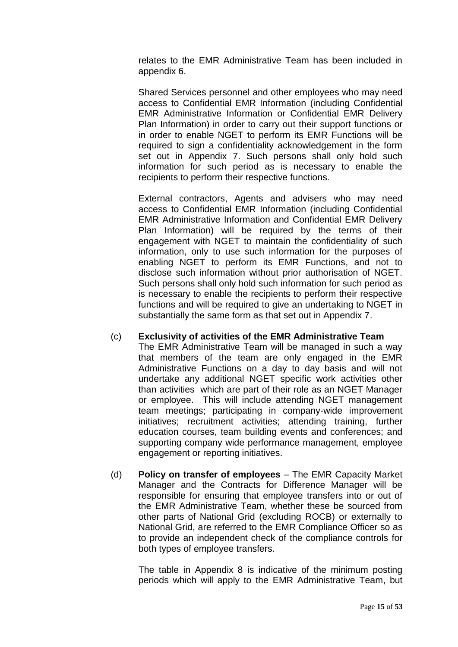relates to the EMR Administrative Team has been included in appendix 6.

Shared Services personnel and other employees who may need access to Confidential EMR Information (including Confidential EMR Administrative Information or Confidential EMR Delivery Plan Information) in order to carry out their support functions or in order to enable NGET to perform its EMR Functions will be required to sign a confidentiality acknowledgement in the form set out in Appendix 7. Such persons shall only hold such information for such period as is necessary to enable the recipients to perform their respective functions.

External contractors, Agents and advisers who may need access to Confidential EMR Information (including Confidential EMR Administrative Information and Confidential EMR Delivery Plan Information) will be required by the terms of their engagement with NGET to maintain the confidentiality of such information, only to use such information for the purposes of enabling NGET to perform its EMR Functions, and not to disclose such information without prior authorisation of NGET. Such persons shall only hold such information for such period as is necessary to enable the recipients to perform their respective functions and will be required to give an undertaking to NGET in substantially the same form as that set out in Appendix 7.

## (c) **Exclusivity of activities of the EMR Administrative Team**

The EMR Administrative Team will be managed in such a way that members of the team are only engaged in the EMR Administrative Functions on a day to day basis and will not undertake any additional NGET specific work activities other than activities which are part of their role as an NGET Manager or employee. This will include attending NGET management team meetings; participating in company-wide improvement initiatives; recruitment activities; attending training, further education courses, team building events and conferences; and supporting company wide performance management, employee engagement or reporting initiatives.

(d) **Policy on transfer of employees** – The EMR Capacity Market Manager and the Contracts for Difference Manager will be responsible for ensuring that employee transfers into or out of the EMR Administrative Team, whether these be sourced from other parts of National Grid (excluding ROCB) or externally to National Grid, are referred to the EMR Compliance Officer so as to provide an independent check of the compliance controls for both types of employee transfers.

The table in Appendix 8 is indicative of the minimum posting periods which will apply to the EMR Administrative Team, but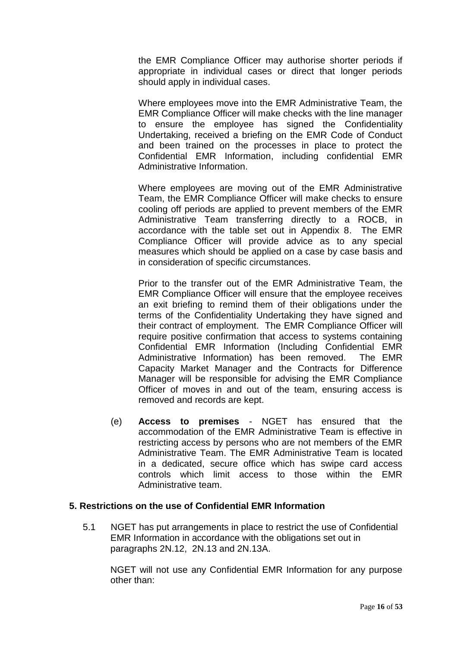the EMR Compliance Officer may authorise shorter periods if appropriate in individual cases or direct that longer periods should apply in individual cases.

Where employees move into the EMR Administrative Team, the EMR Compliance Officer will make checks with the line manager to ensure the employee has signed the Confidentiality Undertaking, received a briefing on the EMR Code of Conduct and been trained on the processes in place to protect the Confidential EMR Information, including confidential EMR Administrative Information.

Where employees are moving out of the EMR Administrative Team, the EMR Compliance Officer will make checks to ensure cooling off periods are applied to prevent members of the EMR Administrative Team transferring directly to a ROCB, in accordance with the table set out in Appendix 8. The EMR Compliance Officer will provide advice as to any special measures which should be applied on a case by case basis and in consideration of specific circumstances.

Prior to the transfer out of the EMR Administrative Team, the EMR Compliance Officer will ensure that the employee receives an exit briefing to remind them of their obligations under the terms of the Confidentiality Undertaking they have signed and their contract of employment. The EMR Compliance Officer will require positive confirmation that access to systems containing Confidential EMR Information (Including Confidential EMR Administrative Information) has been removed. The EMR Capacity Market Manager and the Contracts for Difference Manager will be responsible for advising the EMR Compliance Officer of moves in and out of the team, ensuring access is removed and records are kept.

(e) **Access to premises** - NGET has ensured that the accommodation of the EMR Administrative Team is effective in restricting access by persons who are not members of the EMR Administrative Team. The EMR Administrative Team is located in a dedicated, secure office which has swipe card access controls which limit access to those within the EMR Administrative team.

## **5. Restrictions on the use of Confidential EMR Information**

5.1 NGET has put arrangements in place to restrict the use of Confidential EMR Information in accordance with the obligations set out in paragraphs 2N.12, 2N.13 and 2N.13A.

NGET will not use any Confidential EMR Information for any purpose other than: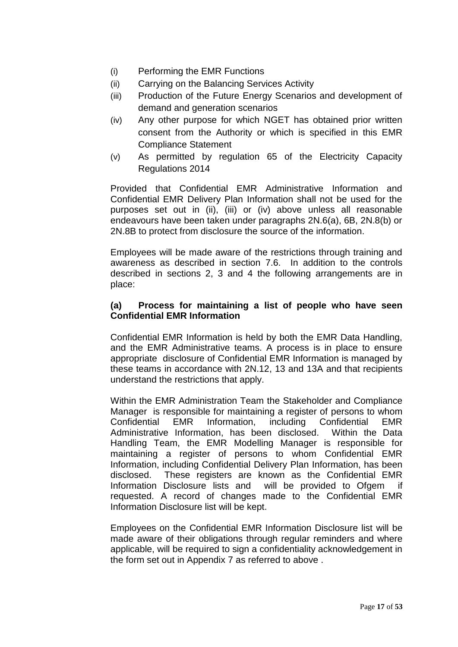- (i) Performing the EMR Functions
- (ii) Carrying on the Balancing Services Activity
- (iii) Production of the Future Energy Scenarios and development of demand and generation scenarios
- (iv) Any other purpose for which NGET has obtained prior written consent from the Authority or which is specified in this EMR Compliance Statement
- (v) As permitted by regulation 65 of the Electricity Capacity Regulations 2014

Provided that Confidential EMR Administrative Information and Confidential EMR Delivery Plan Information shall not be used for the purposes set out in (ii), (iii) or (iv) above unless all reasonable endeavours have been taken under paragraphs 2N.6(a), 6B, 2N.8(b) or 2N.8B to protect from disclosure the source of the information.

Employees will be made aware of the restrictions through training and awareness as described in section 7.6. In addition to the controls described in sections 2, 3 and 4 the following arrangements are in place:

## **(a) Process for maintaining a list of people who have seen Confidential EMR Information**

Confidential EMR Information is held by both the EMR Data Handling, and the EMR Administrative teams. A process is in place to ensure appropriate disclosure of Confidential EMR Information is managed by these teams in accordance with 2N.12, 13 and 13A and that recipients understand the restrictions that apply.

Within the EMR Administration Team the Stakeholder and Compliance Manager is responsible for maintaining a register of persons to whom Confidential EMR Information, including Confidential EMR Administrative Information, has been disclosed. Within the Data Handling Team, the EMR Modelling Manager is responsible for maintaining a register of persons to whom Confidential EMR Information, including Confidential Delivery Plan Information, has been disclosed. These registers are known as the Confidential EMR Information Disclosure lists and will be provided to Ofgem if requested. A record of changes made to the Confidential EMR Information Disclosure list will be kept.

Employees on the Confidential EMR Information Disclosure list will be made aware of their obligations through regular reminders and where applicable, will be required to sign a confidentiality acknowledgement in the form set out in Appendix 7 as referred to above .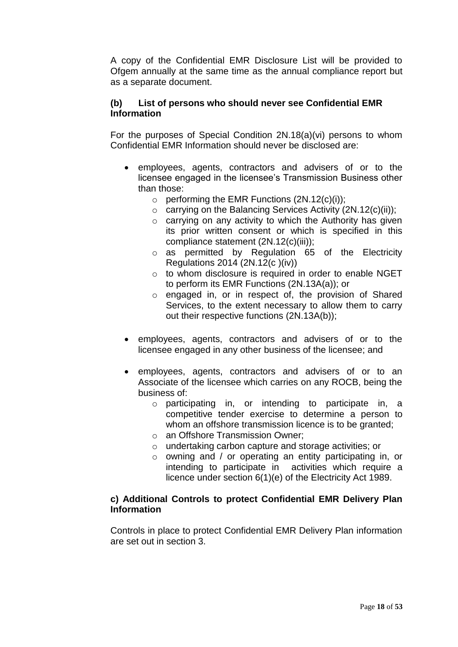A copy of the Confidential EMR Disclosure List will be provided to Ofgem annually at the same time as the annual compliance report but as a separate document.

## **(b) List of persons who should never see Confidential EMR Information**

For the purposes of Special Condition 2N.18(a)(vi) persons to whom Confidential EMR Information should never be disclosed are:

- employees, agents, contractors and advisers of or to the licensee engaged in the licensee's Transmission Business other than those:
	- $\circ$  performing the EMR Functions  $(2N.12(c)(i))$ ;
	- $\circ$  carrying on the Balancing Services Activity (2N.12(c)(ii));
	- o carrying on any activity to which the Authority has given its prior written consent or which is specified in this compliance statement (2N.12(c)(iii));
	- o as permitted by Regulation 65 of the Electricity Regulations 2014 (2N.12(c )(iv))
	- o to whom disclosure is required in order to enable NGET to perform its EMR Functions (2N.13A(a)); or
	- o engaged in, or in respect of, the provision of Shared Services, to the extent necessary to allow them to carry out their respective functions (2N.13A(b));
- employees, agents, contractors and advisers of or to the licensee engaged in any other business of the licensee; and
- employees, agents, contractors and advisers of or to an Associate of the licensee which carries on any ROCB, being the business of:
	- o participating in, or intending to participate in, a competitive tender exercise to determine a person to whom an offshore transmission licence is to be granted:
	- o an Offshore Transmission Owner;
	- o undertaking carbon capture and storage activities; or
	- o owning and / or operating an entity participating in, or intending to participate in activities which require a licence under section 6(1)(e) of the Electricity Act 1989.

## **c) Additional Controls to protect Confidential EMR Delivery Plan Information**

Controls in place to protect Confidential EMR Delivery Plan information are set out in section 3.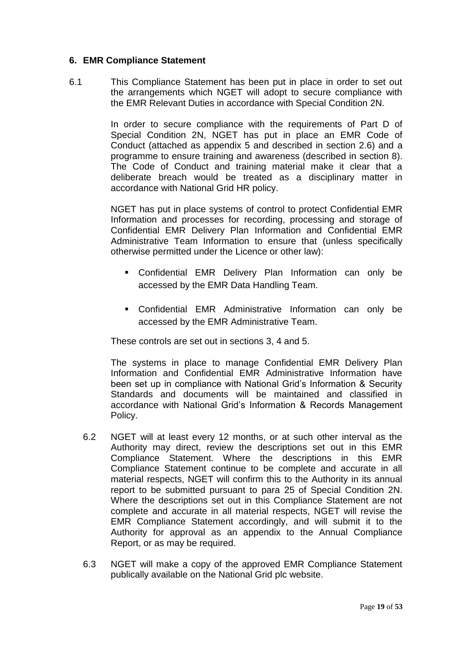#### **6. EMR Compliance Statement**

6.1 This Compliance Statement has been put in place in order to set out the arrangements which NGET will adopt to secure compliance with the EMR Relevant Duties in accordance with Special Condition 2N.

> In order to secure compliance with the requirements of Part D of Special Condition 2N, NGET has put in place an EMR Code of Conduct (attached as appendix 5 and described in section 2.6) and a programme to ensure training and awareness (described in section 8). The Code of Conduct and training material make it clear that a deliberate breach would be treated as a disciplinary matter in accordance with National Grid HR policy.

> NGET has put in place systems of control to protect Confidential EMR Information and processes for recording, processing and storage of Confidential EMR Delivery Plan Information and Confidential EMR Administrative Team Information to ensure that (unless specifically otherwise permitted under the Licence or other law):

- Confidential EMR Delivery Plan Information can only be accessed by the EMR Data Handling Team.
- Confidential EMR Administrative Information can only be accessed by the EMR Administrative Team.

These controls are set out in sections 3, 4 and 5.

The systems in place to manage Confidential EMR Delivery Plan Information and Confidential EMR Administrative Information have been set up in compliance with National Grid's Information & Security Standards and documents will be maintained and classified in accordance with National Grid's Information & Records Management Policy.

- 6.2 NGET will at least every 12 months, or at such other interval as the Authority may direct, review the descriptions set out in this EMR Compliance Statement. Where the descriptions in this EMR Compliance Statement continue to be complete and accurate in all material respects, NGET will confirm this to the Authority in its annual report to be submitted pursuant to para 25 of Special Condition 2N. Where the descriptions set out in this Compliance Statement are not complete and accurate in all material respects, NGET will revise the EMR Compliance Statement accordingly, and will submit it to the Authority for approval as an appendix to the Annual Compliance Report, or as may be required.
- 6.3 NGET will make a copy of the approved EMR Compliance Statement publically available on the National Grid plc website.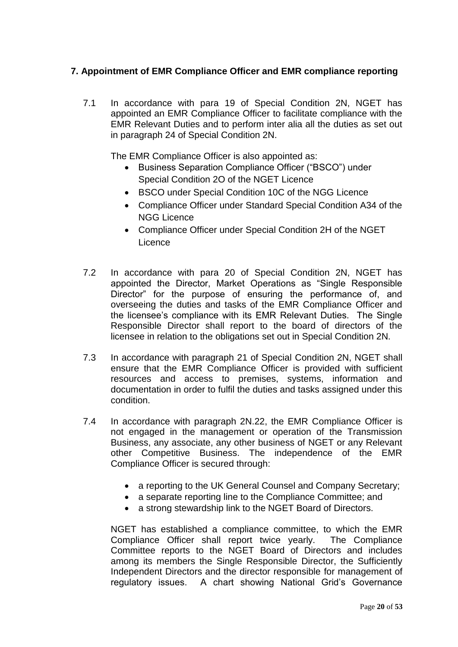## **7. Appointment of EMR Compliance Officer and EMR compliance reporting**

7.1 In accordance with para 19 of Special Condition 2N, NGET has appointed an EMR Compliance Officer to facilitate compliance with the EMR Relevant Duties and to perform inter alia all the duties as set out in paragraph 24 of Special Condition 2N.

The EMR Compliance Officer is also appointed as:

- Business Separation Compliance Officer ("BSCO") under Special Condition 2O of the NGET Licence
- BSCO under Special Condition 10C of the NGG Licence
- Compliance Officer under Standard Special Condition A34 of the NGG Licence
- Compliance Officer under Special Condition 2H of the NGET Licence
- 7.2 In accordance with para 20 of Special Condition 2N, NGET has appointed the Director, Market Operations as "Single Responsible Director" for the purpose of ensuring the performance of, and overseeing the duties and tasks of the EMR Compliance Officer and the licensee's compliance with its EMR Relevant Duties. The Single Responsible Director shall report to the board of directors of the licensee in relation to the obligations set out in Special Condition 2N.
- 7.3 In accordance with paragraph 21 of Special Condition 2N, NGET shall ensure that the EMR Compliance Officer is provided with sufficient resources and access to premises, systems, information and documentation in order to fulfil the duties and tasks assigned under this condition.
- 7.4 In accordance with paragraph 2N.22, the EMR Compliance Officer is not engaged in the management or operation of the Transmission Business, any associate, any other business of NGET or any Relevant other Competitive Business. The independence of the EMR Compliance Officer is secured through:
	- a reporting to the UK General Counsel and Company Secretary;
	- a separate reporting line to the Compliance Committee; and
	- a strong stewardship link to the NGET Board of Directors.

NGET has established a compliance committee, to which the EMR Compliance Officer shall report twice yearly. The Compliance Committee reports to the NGET Board of Directors and includes among its members the Single Responsible Director, the Sufficiently Independent Directors and the director responsible for management of regulatory issues. A chart showing National Grid's Governance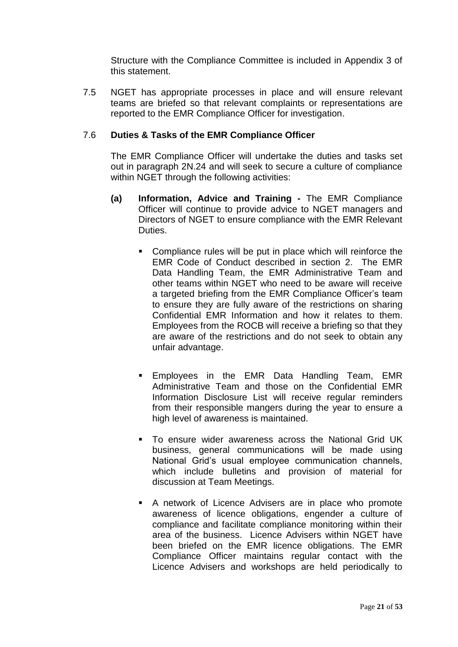Structure with the Compliance Committee is included in Appendix 3 of this statement.

7.5 NGET has appropriate processes in place and will ensure relevant teams are briefed so that relevant complaints or representations are reported to the EMR Compliance Officer for investigation.

#### 7.6 **Duties & Tasks of the EMR Compliance Officer**

The EMR Compliance Officer will undertake the duties and tasks set out in paragraph 2N.24 and will seek to secure a culture of compliance within NGET through the following activities:

- **(a) Information, Advice and Training -** The EMR Compliance Officer will continue to provide advice to NGET managers and Directors of NGET to ensure compliance with the EMR Relevant Duties.
	- Compliance rules will be put in place which will reinforce the EMR Code of Conduct described in section 2. The EMR Data Handling Team, the EMR Administrative Team and other teams within NGET who need to be aware will receive a targeted briefing from the EMR Compliance Officer's team to ensure they are fully aware of the restrictions on sharing Confidential EMR Information and how it relates to them. Employees from the ROCB will receive a briefing so that they are aware of the restrictions and do not seek to obtain any unfair advantage.
	- **Employees in the EMR Data Handling Team, EMR** Administrative Team and those on the Confidential EMR Information Disclosure List will receive regular reminders from their responsible mangers during the year to ensure a high level of awareness is maintained.
	- To ensure wider awareness across the National Grid UK business, general communications will be made using National Grid's usual employee communication channels, which include bulletins and provision of material for discussion at Team Meetings.
	- A network of Licence Advisers are in place who promote awareness of licence obligations, engender a culture of compliance and facilitate compliance monitoring within their area of the business. Licence Advisers within NGET have been briefed on the EMR licence obligations. The EMR Compliance Officer maintains regular contact with the Licence Advisers and workshops are held periodically to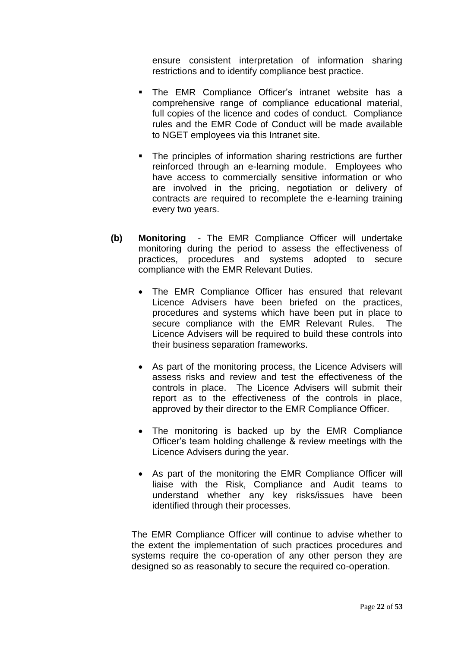ensure consistent interpretation of information sharing restrictions and to identify compliance best practice.

- The EMR Compliance Officer's intranet website has a comprehensive range of compliance educational material, full copies of the licence and codes of conduct. Compliance rules and the EMR Code of Conduct will be made available to NGET employees via this Intranet site.
- The principles of information sharing restrictions are further reinforced through an e-learning module. Employees who have access to commercially sensitive information or who are involved in the pricing, negotiation or delivery of contracts are required to recomplete the e-learning training every two years.
- **(b) Monitoring** The EMR Compliance Officer will undertake monitoring during the period to assess the effectiveness of practices, procedures and systems adopted to secure compliance with the EMR Relevant Duties.
	- The EMR Compliance Officer has ensured that relevant Licence Advisers have been briefed on the practices, procedures and systems which have been put in place to secure compliance with the EMR Relevant Rules. The Licence Advisers will be required to build these controls into their business separation frameworks.
	- As part of the monitoring process, the Licence Advisers will assess risks and review and test the effectiveness of the controls in place. The Licence Advisers will submit their report as to the effectiveness of the controls in place, approved by their director to the EMR Compliance Officer.
	- The monitoring is backed up by the EMR Compliance Officer's team holding challenge & review meetings with the Licence Advisers during the year.
	- As part of the monitoring the EMR Compliance Officer will liaise with the Risk, Compliance and Audit teams to understand whether any key risks/issues have been identified through their processes.

The EMR Compliance Officer will continue to advise whether to the extent the implementation of such practices procedures and systems require the co-operation of any other person they are designed so as reasonably to secure the required co-operation.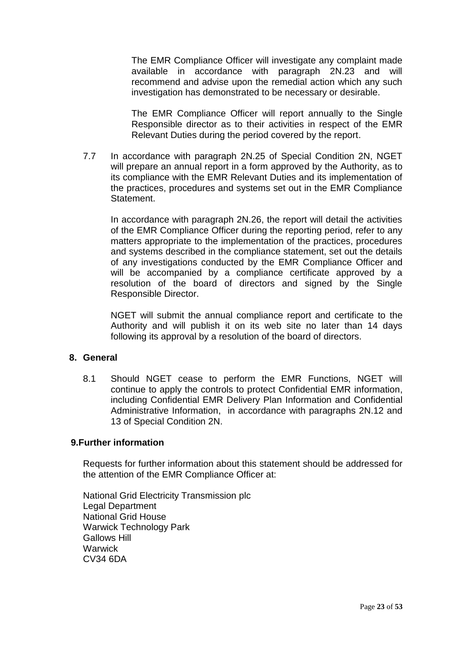The EMR Compliance Officer will investigate any complaint made available in accordance with paragraph 2N.23 and will recommend and advise upon the remedial action which any such investigation has demonstrated to be necessary or desirable.

The EMR Compliance Officer will report annually to the Single Responsible director as to their activities in respect of the EMR Relevant Duties during the period covered by the report.

7.7 In accordance with paragraph 2N.25 of Special Condition 2N, NGET will prepare an annual report in a form approved by the Authority, as to its compliance with the EMR Relevant Duties and its implementation of the practices, procedures and systems set out in the EMR Compliance Statement.

In accordance with paragraph 2N.26, the report will detail the activities of the EMR Compliance Officer during the reporting period, refer to any matters appropriate to the implementation of the practices, procedures and systems described in the compliance statement, set out the details of any investigations conducted by the EMR Compliance Officer and will be accompanied by a compliance certificate approved by a resolution of the board of directors and signed by the Single Responsible Director.

NGET will submit the annual compliance report and certificate to the Authority and will publish it on its web site no later than 14 days following its approval by a resolution of the board of directors.

#### **8. General**

8.1 Should NGET cease to perform the EMR Functions, NGET will continue to apply the controls to protect Confidential EMR information, including Confidential EMR Delivery Plan Information and Confidential Administrative Information, in accordance with paragraphs 2N.12 and 13 of Special Condition 2N.

## **9.Further information**

Requests for further information about this statement should be addressed for the attention of the EMR Compliance Officer at:

National Grid Electricity Transmission plc Legal Department National Grid House Warwick Technology Park Gallows Hill **Warwick** CV34 6DA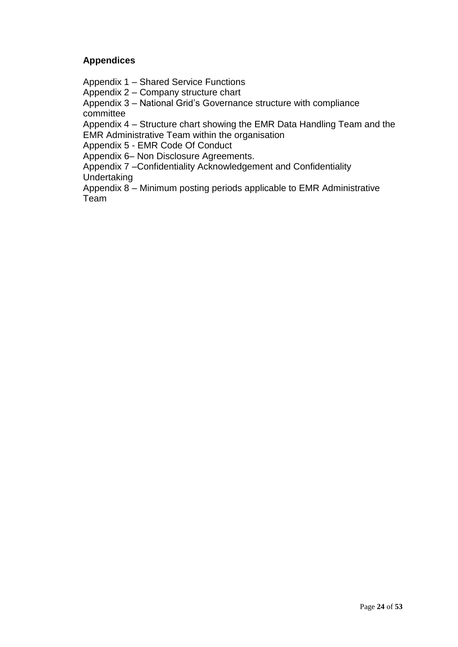## **Appendices**

Appendix 1 – Shared Service Functions

Appendix 2 – Company structure chart

Appendix 3 – National Grid's Governance structure with compliance committee

Appendix 4 – Structure chart showing the EMR Data Handling Team and the EMR Administrative Team within the organisation

Appendix 5 - EMR Code Of Conduct

Appendix 6– Non Disclosure Agreements.

Appendix 7 –Confidentiality Acknowledgement and Confidentiality Undertaking

Appendix 8 – Minimum posting periods applicable to EMR Administrative Team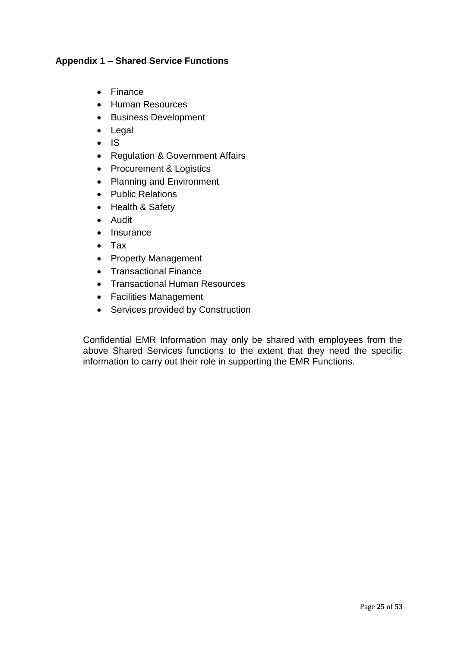## **Appendix 1 – Shared Service Functions**

- Finance
- Human Resources
- Business Development
- Legal
- $\bullet$  IS
- Regulation & Government Affairs
- Procurement & Logistics
- Planning and Environment
- Public Relations
- Health & Safety
- Audit
- Insurance
- Tax
- Property Management
- Transactional Finance
- Transactional Human Resources
- Facilities Management
- Services provided by Construction

Confidential EMR Information may only be shared with employees from the above Shared Services functions to the extent that they need the specific information to carry out their role in supporting the EMR Functions.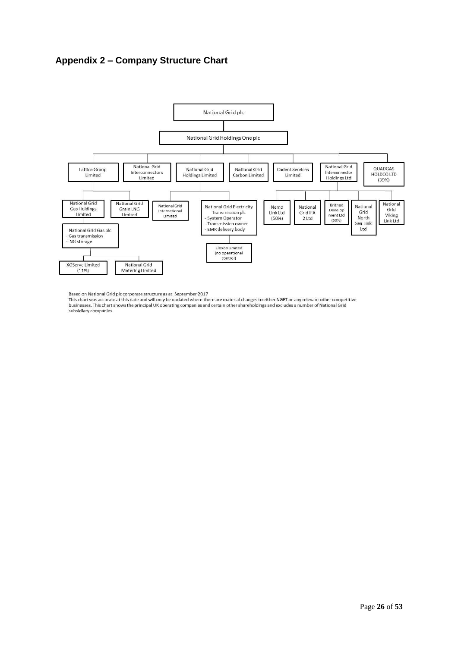## **Appendix 2 – Company Structure Chart**



Based on National Grid plc corporate structure as at September 2017

businesses. This chart was accurate at this date and will only be updated where there are material changes to either NGET or any relevant other competitive<br>businesses. This chart shows the principal UK operating companies subsidiary companies.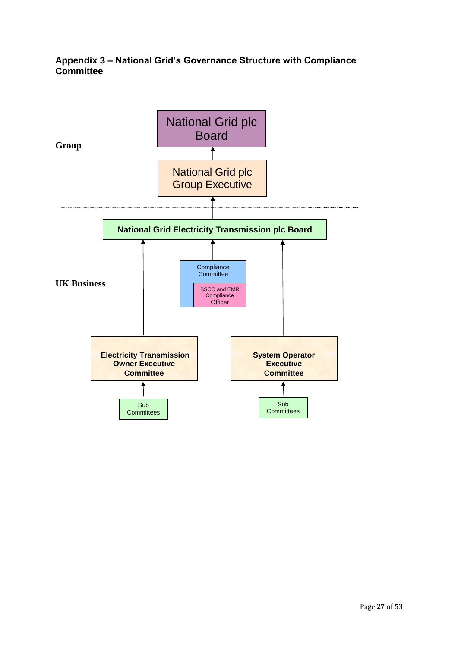## **Appendix 3 – National Grid's Governance Structure with Compliance Committee**

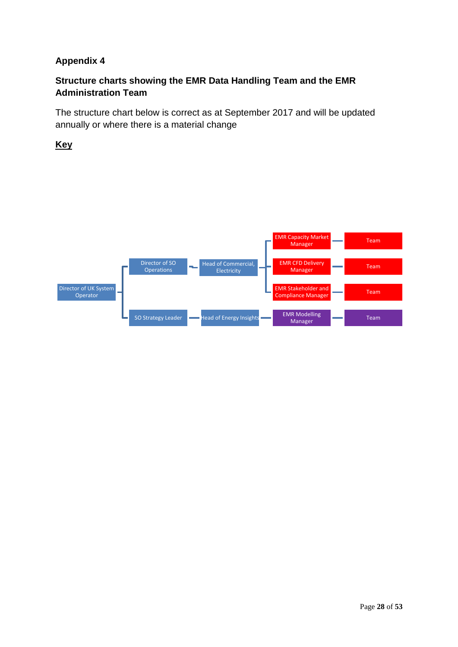## **Appendix 4**

## **Structure charts showing the EMR Data Handling Team and the EMR Administration Team**

The structure chart below is correct as at September 2017 and will be updated annually or where there is a material change

**Key**

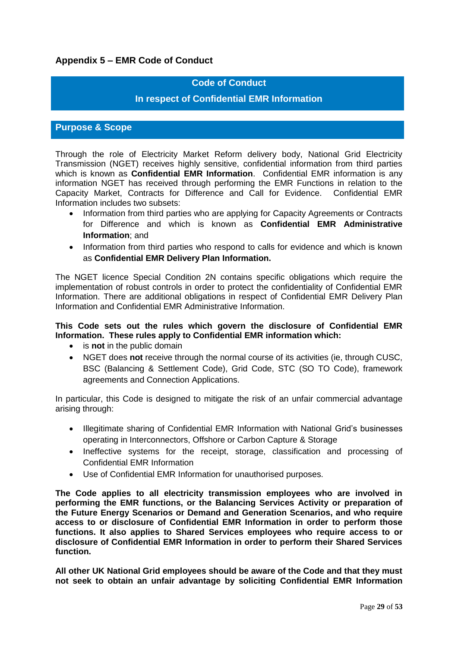## **Appendix 5 – EMR Code of Conduct**

#### **Code of Conduct**

#### **In respect of Confidential EMR Information**

#### **Purpose & Scope**

Through the role of Electricity Market Reform delivery body, National Grid Electricity Transmission (NGET) receives highly sensitive, confidential information from third parties which is known as **Confidential EMR Information**. Confidential EMR information is any information NGET has received through performing the EMR Functions in relation to the Capacity Market, Contracts for Difference and Call for Evidence. Confidential EMR Information includes two subsets:

- Information from third parties who are applying for Capacity Agreements or Contracts for Difference and which is known as **Confidential EMR Administrative Information**; and
- Information from third parties who respond to calls for evidence and which is known as **Confidential EMR Delivery Plan Information.**

The NGET licence Special Condition 2N contains specific obligations which require the implementation of robust controls in order to protect the confidentiality of Confidential EMR Information. There are additional obligations in respect of Confidential EMR Delivery Plan Information and Confidential EMR Administrative Information.

#### **This Code sets out the rules which govern the disclosure of Confidential EMR Information. These rules apply to Confidential EMR information which:**

- is **not** in the public domain
- NGET does **not** receive through the normal course of its activities (ie, through CUSC, BSC (Balancing & Settlement Code), Grid Code, STC (SO TO Code), framework agreements and Connection Applications.

In particular, this Code is designed to mitigate the risk of an unfair commercial advantage arising through:

- Illegitimate sharing of Confidential EMR Information with National Grid's businesses operating in Interconnectors, Offshore or Carbon Capture & Storage
- Ineffective systems for the receipt, storage, classification and processing of Confidential EMR Information
- Use of Confidential EMR Information for unauthorised purposes.

**The Code applies to all electricity transmission employees who are involved in performing the EMR functions, or the Balancing Services Activity or preparation of the Future Energy Scenarios or Demand and Generation Scenarios, and who require access to or disclosure of Confidential EMR Information in order to perform those functions. It also applies to Shared Services employees who require access to or disclosure of Confidential EMR Information in order to perform their Shared Services function.**

**All other UK National Grid employees should be aware of the Code and that they must not seek to obtain an unfair advantage by soliciting Confidential EMR Information**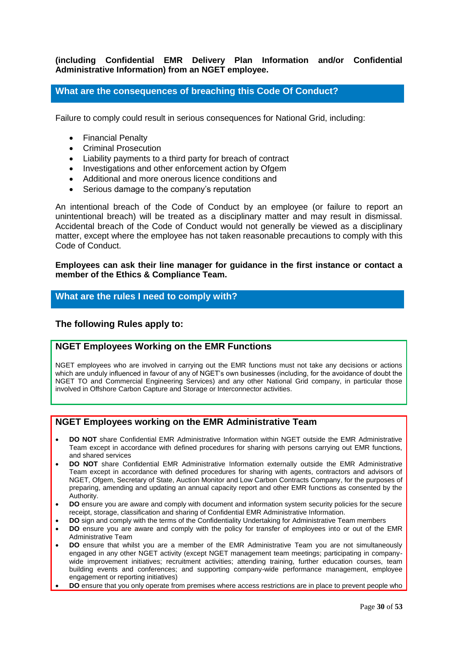#### **(including Confidential EMR Delivery Plan Information and/or Confidential Administrative Information) from an NGET employee.**

#### **What are the consequences of breaching this Code Of Conduct?**

Failure to comply could result in serious consequences for National Grid, including:

- Financial Penalty
- Criminal Prosecution
- Liability payments to a third party for breach of contract
- Investigations and other enforcement action by Ofgem
- Additional and more onerous licence conditions and
- Serious damage to the company's reputation

An intentional breach of the Code of Conduct by an employee (or failure to report an unintentional breach) will be treated as a disciplinary matter and may result in dismissal. Accidental breach of the Code of Conduct would not generally be viewed as a disciplinary matter, except where the employee has not taken reasonable precautions to comply with this Code of Conduct.

**Employees can ask their line manager for guidance in the first instance or contact a member of the Ethics & Compliance Team.** 

#### **What are the rules I need to comply with?**

#### **The following Rules apply to:**

#### **NGET Employees Working on the EMR Functions**

NGET employees who are involved in carrying out the EMR functions must not take any decisions or actions which are unduly influenced in favour of any of NGET's own businesses (including, for the avoidance of doubt the NGET TO and Commercial Engineering Services) and any other National Grid company, in particular those involved in Offshore Carbon Capture and Storage or Interconnector activities.

#### **NGET Employees working on the EMR Administrative Team**

- **DO NOT** share Confidential EMR Administrative Information within NGET outside the EMR Administrative Team except in accordance with defined procedures for sharing with persons carrying out EMR functions, and shared services
- **DO NOT** share Confidential EMR Administrative Information externally outside the EMR Administrative Team except in accordance with defined procedures for sharing with agents, contractors and advisors of NGET, Ofgem, Secretary of State, Auction Monitor and Low Carbon Contracts Company, for the purposes of preparing, amending and updating an annual capacity report and other EMR functions as consented by the Authority.
- **DO** ensure you are aware and comply with document and information system security policies for the secure receipt, storage, classification and sharing of Confidential EMR Administrative Information.
- **DO** sign and comply with the terms of the Confidentiality Undertaking for Administrative Team members
- **DO** ensure you are aware and comply with the policy for transfer of employees into or out of the EMR Administrative Team
- **DO** ensure that whilst you are a member of the EMR Administrative Team you are not simultaneously engaged in any other NGET activity (except NGET management team meetings; participating in companywide improvement initiatives; recruitment activities; attending training, further education courses, team building events and conferences; and supporting company-wide performance management, employee engagement or reporting initiatives)
- **DO** ensure that you only operate from premises where access restrictions are in place to prevent people who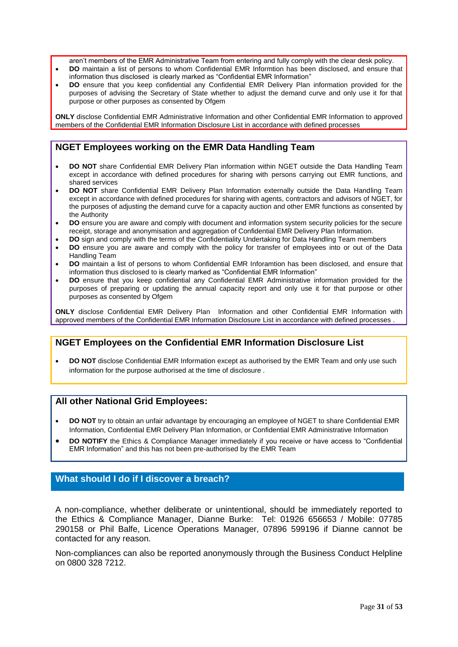aren't members of the EMR Administrative Team from entering and fully comply with the clear desk policy.

- **DO** maintain a list of persons to whom Confidential EMR Informtion has been disclosed, and ensure that information thus disclosed is clearly marked as "Confidential EMR Information"
- **DO** ensure that you keep confidential any Confidential EMR Delivery Plan information provided for the purposes of advising the Secretary of State whether to adjust the demand curve and only use it for that purpose or other purposes as consented by Ofgem

**ONLY** disclose Confidential EMR Administrative Information and other Confidential EMR Information to approved members of the Confidential EMR Information Disclosure List in accordance with defined processes

#### **NGET Employees working on the EMR Data Handling Team**

- **DO NOT** share Confidential EMR Delivery Plan information within NGET outside the Data Handling Team except in accordance with defined procedures for sharing with persons carrying out EMR functions, and shared services
- **DO NOT** share Confidential EMR Delivery Plan Information externally outside the Data Handling Team except in accordance with defined procedures for sharing with agents, contractors and advisors of NGET, for the purposes of adjusting the demand curve for a capacity auction and other EMR functions as consented by the Authority
- **DO** ensure you are aware and comply with document and information system security policies for the secure receipt, storage and anonymisation and aggregation of Confidential EMR Delivery Plan Information.
- **DO** sign and comply with the terms of the Confidentiality Undertaking for Data Handling Team members
- **DO** ensure you are aware and comply with the policy for transfer of employees into or out of the Data Handling Team
- **DO** maintain a list of persons to whom Confidential EMR Inforamtion has been disclosed, and ensure that information thus disclosed to is clearly marked as "Confidential EMR Information"
- **DO** ensure that you keep confidential any Confidential EMR Administrative information provided for the purposes of preparing or updating the annual capacity report and only use it for that purpose or other purposes as consented by Ofgem

**ONLY** disclose Confidential EMR Delivery Plan Information and other Confidential EMR Information with approved members of the Confidential EMR Information Disclosure List in accordance with defined processes .

## **NGET Employees on the Confidential EMR Information Disclosure List**

 **DO NOT** disclose Confidential EMR Information except as authorised by the EMR Team and only use such information for the purpose authorised at the time of disclosure .

#### **All other National Grid Employees:**

- **DO NOT** try to obtain an unfair advantage by encouraging an employee of NGET to share Confidential EMR Information, Confidential EMR Delivery Plan Information, or Confidential EMR Administrative Information
- **DO NOTIFY** the Ethics & Compliance Manager immediately if you receive or have access to "Confidential EMR Information" and this has not been pre-authorised by the EMR Team

#### **What should I do if I discover a breach?**

A non-compliance, whether deliberate or unintentional, should be immediately reported to the Ethics & Compliance Manager, Dianne Burke: Tel: 01926 656653 / Mobile: 07785 290158 or Phil Balfe, Licence Operations Manager, 07896 599196 if Dianne cannot be contacted for any reason.

Non-compliances can also be reported anonymously through the Business Conduct Helpline on 0800 328 7212.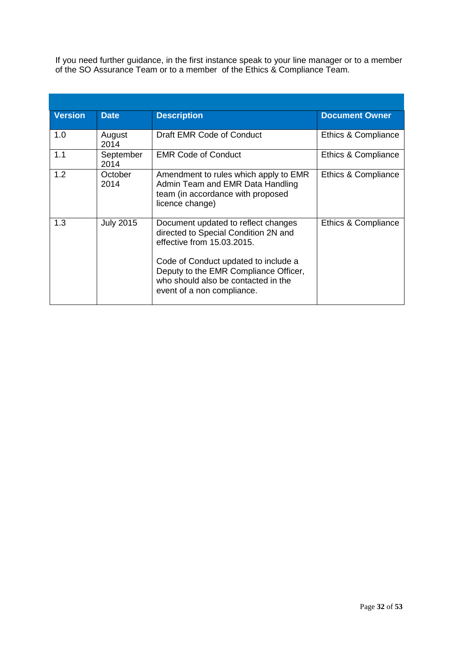If you need further guidance, in the first instance speak to your line manager or to a member of the SO Assurance Team or to a member of the Ethics & Compliance Team.

| <b>Version</b> | <b>Date</b>       | <b>Description</b>                                                                                                                                                                                                                                              | <b>Document Owner</b> |
|----------------|-------------------|-----------------------------------------------------------------------------------------------------------------------------------------------------------------------------------------------------------------------------------------------------------------|-----------------------|
| 1.0            | August<br>2014    | Draft EMR Code of Conduct                                                                                                                                                                                                                                       | Ethics & Compliance   |
| 1.1            | September<br>2014 | <b>EMR Code of Conduct</b>                                                                                                                                                                                                                                      | Ethics & Compliance   |
| 1.2            | October<br>2014   | Amendment to rules which apply to EMR<br>Admin Team and EMR Data Handling<br>team (in accordance with proposed<br>licence change)                                                                                                                               | Ethics & Compliance   |
| 1.3            | <b>July 2015</b>  | Document updated to reflect changes<br>directed to Special Condition 2N and<br>effective from 15.03.2015.<br>Code of Conduct updated to include a<br>Deputy to the EMR Compliance Officer,<br>who should also be contacted in the<br>event of a non compliance. | Ethics & Compliance   |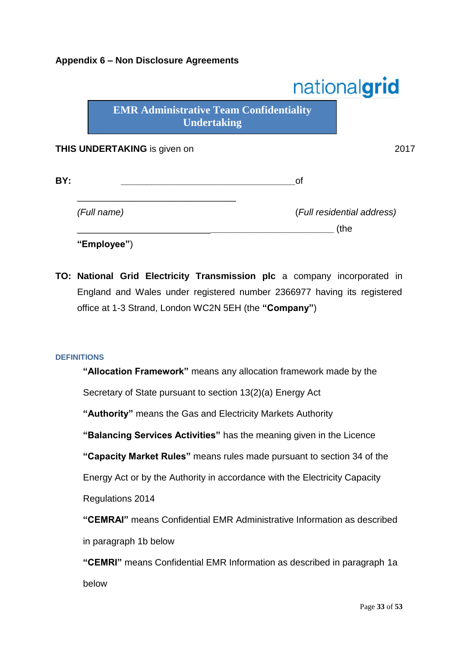## **Appendix 6 – Non Disclosure Agreements**

|     |                                                                      |    | nationalgrid               |
|-----|----------------------------------------------------------------------|----|----------------------------|
|     | <b>EMR Administrative Team Confidentiality</b><br><b>Undertaking</b> |    |                            |
|     | <b>THIS UNDERTAKING</b> is given on                                  |    | 2017                       |
| BY: |                                                                      | οf |                            |
|     | (Full name)                                                          |    | (Full residential address) |
|     | "Employee")                                                          |    | (the                       |

**TO: National Grid Electricity Transmission plc** a company incorporated in England and Wales under registered number 2366977 having its registered office at 1-3 Strand, London WC2N 5EH (the **"Company"**)

#### **DEFINITIONS**

| "Allocation Framework" means any allocation framework made by the          |
|----------------------------------------------------------------------------|
| Secretary of State pursuant to section 13(2)(a) Energy Act                 |
| "Authority" means the Gas and Electricity Markets Authority                |
| "Balancing Services Activities" has the meaning given in the Licence       |
| "Capacity Market Rules" means rules made pursuant to section 34 of the     |
| Energy Act or by the Authority in accordance with the Electricity Capacity |
| Regulations 2014                                                           |
| "CEMRAI" means Confidential EMR Administrative Information as described    |
| in paragraph 1b below                                                      |
| "CEMRI" means Confidential EMR Information as described in paragraph 1a    |
| below                                                                      |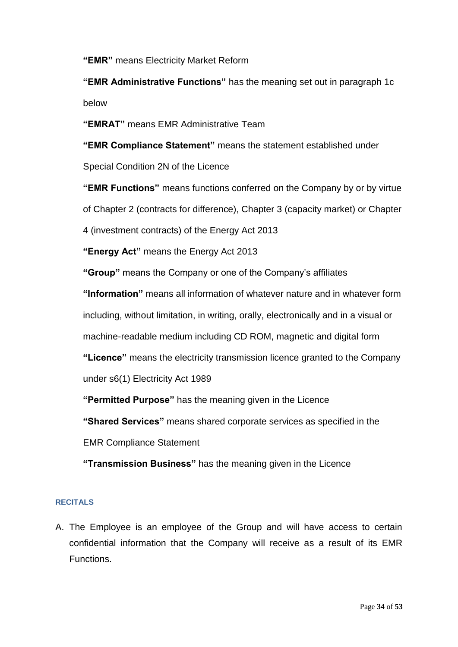**"EMR"** means Electricity Market Reform

**"EMR Administrative Functions"** has the meaning set out in paragraph 1c below

**"EMRAT"** means EMR Administrative Team

**"EMR Compliance Statement"** means the statement established under Special Condition 2N of the Licence

**"EMR Functions"** means functions conferred on the Company by or by virtue of Chapter 2 (contracts for difference), Chapter 3 (capacity market) or Chapter 4 (investment contracts) of the Energy Act 2013

**"Energy Act"** means the Energy Act 2013

**"Group"** means the Company or one of the Company's affiliates

**"Information"** means all information of whatever nature and in whatever form

including, without limitation, in writing, orally, electronically and in a visual or

machine-readable medium including CD ROM, magnetic and digital form

**"Licence"** means the electricity transmission licence granted to the Company

under s6(1) Electricity Act 1989

**"Permitted Purpose"** has the meaning given in the Licence

**"Shared Services"** means shared corporate services as specified in the

EMR Compliance Statement

**"Transmission Business"** has the meaning given in the Licence

#### **RECITALS**

A. The Employee is an employee of the Group and will have access to certain confidential information that the Company will receive as a result of its EMR Functions.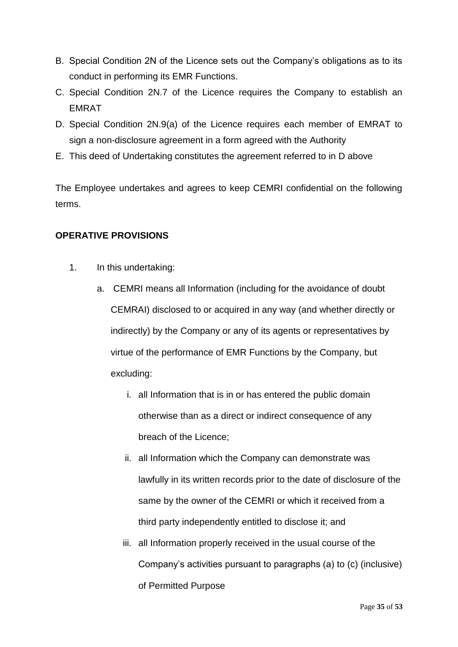- B. Special Condition 2N of the Licence sets out the Company's obligations as to its conduct in performing its EMR Functions.
- C. Special Condition 2N.7 of the Licence requires the Company to establish an EMRAT
- D. Special Condition 2N.9(a) of the Licence requires each member of EMRAT to sign a non-disclosure agreement in a form agreed with the Authority
- E. This deed of Undertaking constitutes the agreement referred to in D above

The Employee undertakes and agrees to keep CEMRI confidential on the following terms.

## **OPERATIVE PROVISIONS**

- 1. In this undertaking:
	- a. CEMRI means all Information (including for the avoidance of doubt CEMRAI) disclosed to or acquired in any way (and whether directly or indirectly) by the Company or any of its agents or representatives by virtue of the performance of EMR Functions by the Company, but excluding:
		- i. all Information that is in or has entered the public domain otherwise than as a direct or indirect consequence of any breach of the Licence;
		- ii. all Information which the Company can demonstrate was lawfully in its written records prior to the date of disclosure of the same by the owner of the CEMRI or which it received from a third party independently entitled to disclose it; and
		- iii. all Information properly received in the usual course of the Company's activities pursuant to paragraphs (a) to (c) (inclusive) of Permitted Purpose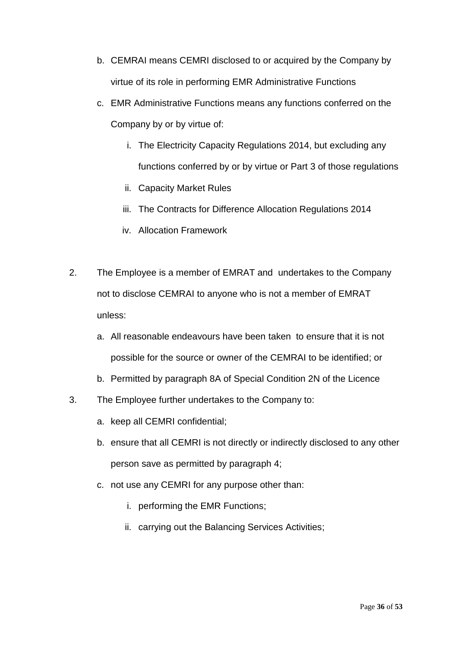- b. CEMRAI means CEMRI disclosed to or acquired by the Company by virtue of its role in performing EMR Administrative Functions
- c. EMR Administrative Functions means any functions conferred on the Company by or by virtue of:
	- i. The Electricity Capacity Regulations 2014, but excluding any functions conferred by or by virtue or Part 3 of those regulations
	- ii. Capacity Market Rules
	- iii. The Contracts for Difference Allocation Regulations 2014
	- iv. Allocation Framework
- 2. The Employee is a member of EMRAT and undertakes to the Company not to disclose CEMRAI to anyone who is not a member of EMRAT unless:
	- a. All reasonable endeavours have been taken to ensure that it is not possible for the source or owner of the CEMRAI to be identified; or
	- b. Permitted by paragraph 8A of Special Condition 2N of the Licence
- 3. The Employee further undertakes to the Company to:
	- a. keep all CEMRI confidential;
	- b. ensure that all CEMRI is not directly or indirectly disclosed to any other person save as permitted by paragraph 4;
	- c. not use any CEMRI for any purpose other than:
		- i. performing the EMR Functions;
		- ii. carrying out the Balancing Services Activities;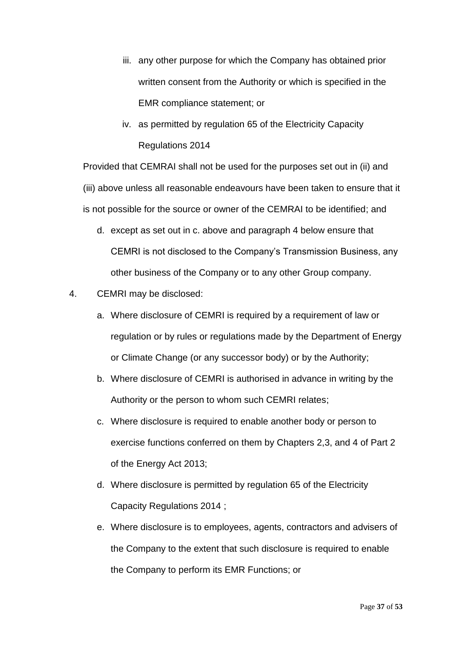- iii. any other purpose for which the Company has obtained prior written consent from the Authority or which is specified in the EMR compliance statement; or
- iv. as permitted by regulation 65 of the Electricity Capacity Regulations 2014

Provided that CEMRAI shall not be used for the purposes set out in (ii) and (iii) above unless all reasonable endeavours have been taken to ensure that it is not possible for the source or owner of the CEMRAI to be identified; and

- d. except as set out in c. above and paragraph 4 below ensure that CEMRI is not disclosed to the Company's Transmission Business, any other business of the Company or to any other Group company.
- 4. CEMRI may be disclosed:
	- a. Where disclosure of CEMRI is required by a requirement of law or regulation or by rules or regulations made by the Department of Energy or Climate Change (or any successor body) or by the Authority;
	- b. Where disclosure of CEMRI is authorised in advance in writing by the Authority or the person to whom such CEMRI relates;
	- c. Where disclosure is required to enable another body or person to exercise functions conferred on them by Chapters 2,3, and 4 of Part 2 of the Energy Act 2013;
	- d. Where disclosure is permitted by regulation 65 of the Electricity Capacity Regulations 2014 ;
	- e. Where disclosure is to employees, agents, contractors and advisers of the Company to the extent that such disclosure is required to enable the Company to perform its EMR Functions; or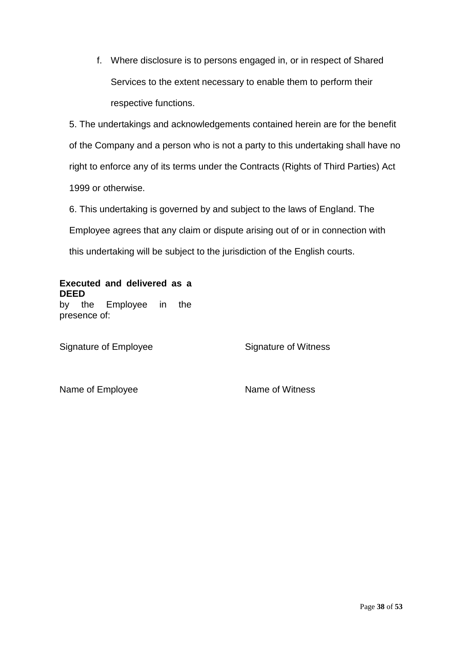f. Where disclosure is to persons engaged in, or in respect of Shared Services to the extent necessary to enable them to perform their respective functions.

5. The undertakings and acknowledgements contained herein are for the benefit of the Company and a person who is not a party to this undertaking shall have no right to enforce any of its terms under the Contracts (Rights of Third Parties) Act 1999 or otherwise.

6. This undertaking is governed by and subject to the laws of England. The Employee agrees that any claim or dispute arising out of or in connection with this undertaking will be subject to the jurisdiction of the English courts.

## **Executed and delivered as a DEED** by the Employee in the

Signature of Employee Signature of Witness

presence of:

Name of Employee Name of Witness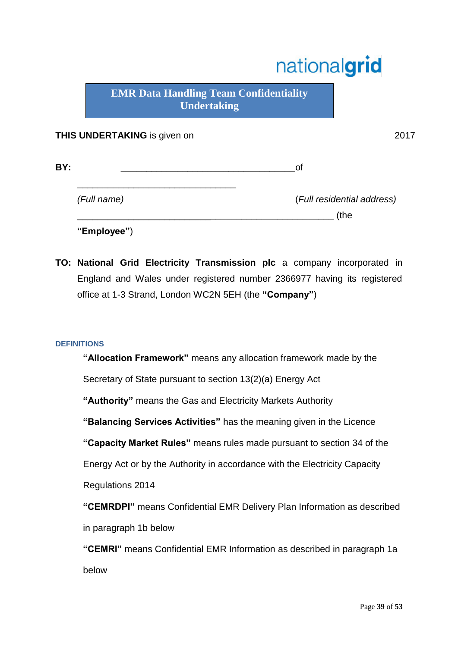# nationalgrid

**EMR Data Handling Team Confidentiality Undertaking**

## **THIS UNDERTAKING** is given on 2017

| BY:         | Ωt                         |
|-------------|----------------------------|
| (Full name) | (Full residential address) |
|             | (the                       |
| "Employee") |                            |

**TO: National Grid Electricity Transmission plc** a company incorporated in England and Wales under registered number 2366977 having its registered office at 1-3 Strand, London WC2N 5EH (the **"Company"**)

## **DEFINITIONS**

**"Allocation Framework"** means any allocation framework made by the

Secretary of State pursuant to section 13(2)(a) Energy Act

**"Authority"** means the Gas and Electricity Markets Authority

**"Balancing Services Activities"** has the meaning given in the Licence

**"Capacity Market Rules"** means rules made pursuant to section 34 of the

Energy Act or by the Authority in accordance with the Electricity Capacity

Regulations 2014

**"CEMRDPI"** means Confidential EMR Delivery Plan Information as described in paragraph 1b below

**"CEMRI"** means Confidential EMR Information as described in paragraph 1a below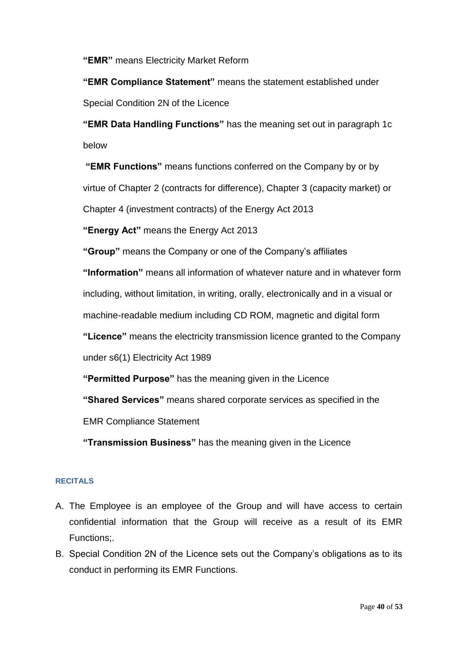**"EMR"** means Electricity Market Reform

**"EMR Compliance Statement"** means the statement established under Special Condition 2N of the Licence

**"EMR Data Handling Functions"** has the meaning set out in paragraph 1c below

**"EMR Functions"** means functions conferred on the Company by or by virtue of Chapter 2 (contracts for difference), Chapter 3 (capacity market) or Chapter 4 (investment contracts) of the Energy Act 2013

**"Energy Act"** means the Energy Act 2013

**"Group"** means the Company or one of the Company's affiliates

**"Information"** means all information of whatever nature and in whatever form including, without limitation, in writing, orally, electronically and in a visual or machine-readable medium including CD ROM, magnetic and digital form **"Licence"** means the electricity transmission licence granted to the Company under s6(1) Electricity Act 1989

**"Permitted Purpose"** has the meaning given in the Licence

**"Shared Services"** means shared corporate services as specified in the

EMR Compliance Statement

**"Transmission Business"** has the meaning given in the Licence

## **RECITALS**

- A. The Employee is an employee of the Group and will have access to certain confidential information that the Group will receive as a result of its EMR Functions;.
- B. Special Condition 2N of the Licence sets out the Company's obligations as to its conduct in performing its EMR Functions.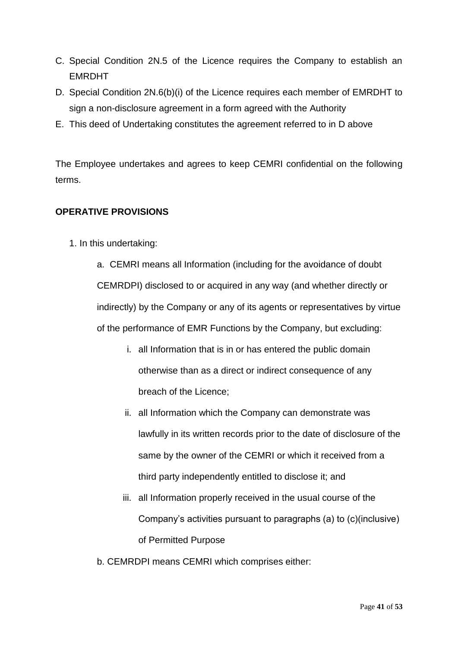- C. Special Condition 2N.5 of the Licence requires the Company to establish an EMRDHT
- D. Special Condition 2N.6(b)(i) of the Licence requires each member of EMRDHT to sign a non-disclosure agreement in a form agreed with the Authority
- E. This deed of Undertaking constitutes the agreement referred to in D above

The Employee undertakes and agrees to keep CEMRI confidential on the following terms.

## **OPERATIVE PROVISIONS**

1. In this undertaking:

a. CEMRI means all Information (including for the avoidance of doubt CEMRDPI) disclosed to or acquired in any way (and whether directly or indirectly) by the Company or any of its agents or representatives by virtue of the performance of EMR Functions by the Company, but excluding:

- i. all Information that is in or has entered the public domain otherwise than as a direct or indirect consequence of any breach of the Licence;
- ii. all Information which the Company can demonstrate was lawfully in its written records prior to the date of disclosure of the same by the owner of the CEMRI or which it received from a third party independently entitled to disclose it; and
- iii. all Information properly received in the usual course of the Company's activities pursuant to paragraphs (a) to (c)(inclusive) of Permitted Purpose
- b. CEMRDPI means CEMRI which comprises either: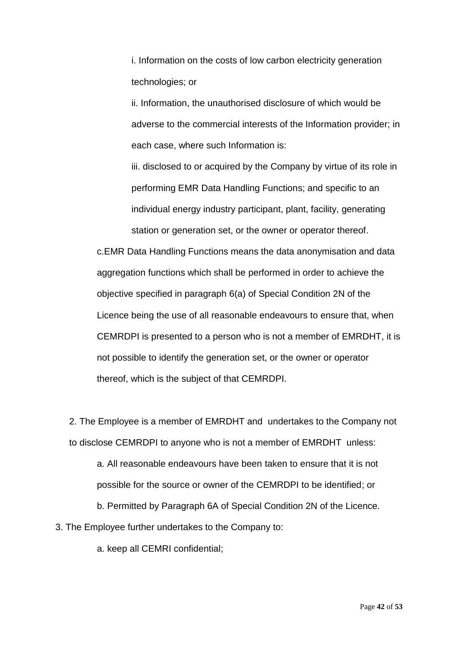i. Information on the costs of low carbon electricity generation technologies; or

ii. Information, the unauthorised disclosure of which would be adverse to the commercial interests of the Information provider; in each case, where such Information is:

iii. disclosed to or acquired by the Company by virtue of its role in performing EMR Data Handling Functions; and specific to an individual energy industry participant, plant, facility, generating station or generation set, or the owner or operator thereof.

c.EMR Data Handling Functions means the data anonymisation and data aggregation functions which shall be performed in order to achieve the objective specified in paragraph 6(a) of Special Condition 2N of the Licence being the use of all reasonable endeavours to ensure that, when CEMRDPI is presented to a person who is not a member of EMRDHT, it is not possible to identify the generation set, or the owner or operator thereof, which is the subject of that CEMRDPI.

2. The Employee is a member of EMRDHT and undertakes to the Company not to disclose CEMRDPI to anyone who is not a member of EMRDHT unless:

a. All reasonable endeavours have been taken to ensure that it is not possible for the source or owner of the CEMRDPI to be identified; or

b. Permitted by Paragraph 6A of Special Condition 2N of the Licence.

3. The Employee further undertakes to the Company to:

a. keep all CEMRI confidential;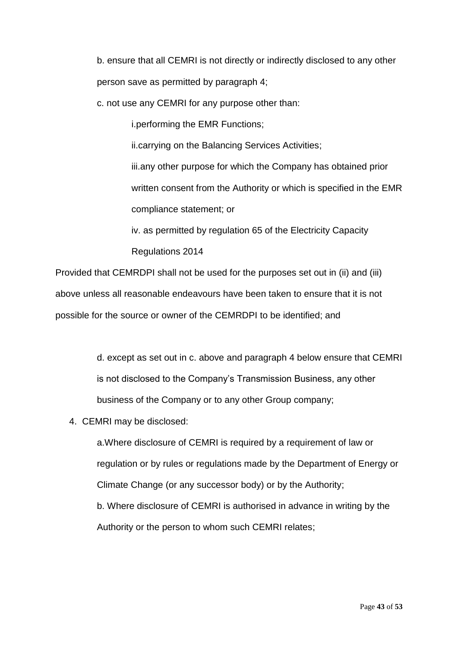b. ensure that all CEMRI is not directly or indirectly disclosed to any other person save as permitted by paragraph 4;

c. not use any CEMRI for any purpose other than:

i.performing the EMR Functions;

ii.carrying on the Balancing Services Activities;

iii.any other purpose for which the Company has obtained prior written consent from the Authority or which is specified in the EMR compliance statement; or

iv. as permitted by regulation 65 of the Electricity Capacity

Regulations 2014

Provided that CEMRDPI shall not be used for the purposes set out in (ii) and (iii) above unless all reasonable endeavours have been taken to ensure that it is not possible for the source or owner of the CEMRDPI to be identified; and

> d. except as set out in c. above and paragraph 4 below ensure that CEMRI is not disclosed to the Company's Transmission Business, any other business of the Company or to any other Group company;

4. CEMRI may be disclosed:

a.Where disclosure of CEMRI is required by a requirement of law or regulation or by rules or regulations made by the Department of Energy or Climate Change (or any successor body) or by the Authority; b. Where disclosure of CEMRI is authorised in advance in writing by the Authority or the person to whom such CEMRI relates;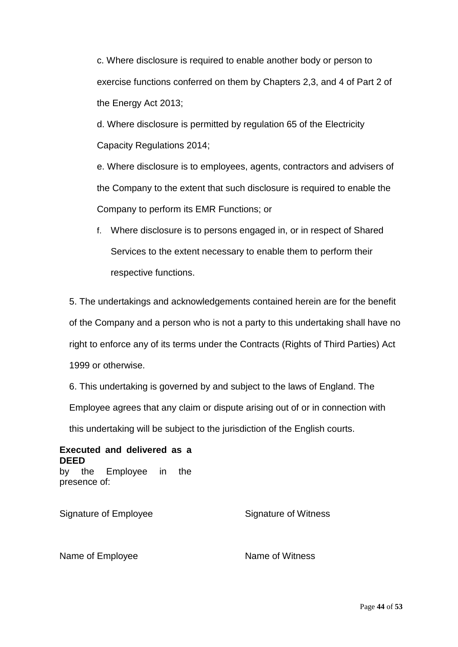c. Where disclosure is required to enable another body or person to exercise functions conferred on them by Chapters 2,3, and 4 of Part 2 of the Energy Act 2013;

d. Where disclosure is permitted by regulation 65 of the Electricity Capacity Regulations 2014;

e. Where disclosure is to employees, agents, contractors and advisers of the Company to the extent that such disclosure is required to enable the Company to perform its EMR Functions; or

f. Where disclosure is to persons engaged in, or in respect of Shared Services to the extent necessary to enable them to perform their respective functions.

5. The undertakings and acknowledgements contained herein are for the benefit of the Company and a person who is not a party to this undertaking shall have no right to enforce any of its terms under the Contracts (Rights of Third Parties) Act 1999 or otherwise.

6. This undertaking is governed by and subject to the laws of England. The Employee agrees that any claim or dispute arising out of or in connection with

this undertaking will be subject to the jurisdiction of the English courts.

**Executed and delivered as a DEED** by the Employee in the presence of:

Signature of Employee Signature of Witness

Name of Employee Name of Witness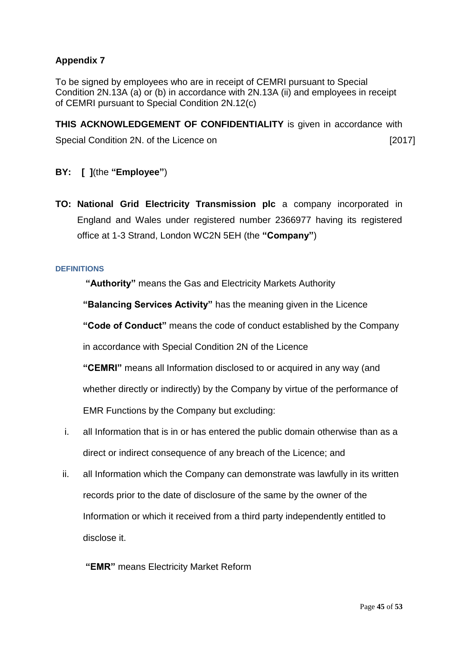## **Appendix 7**

To be signed by employees who are in receipt of CEMRI pursuant to Special Condition 2N.13A (a) or (b) in accordance with 2N.13A (ii) and employees in receipt of CEMRI pursuant to Special Condition 2N.12(c)

**THIS ACKNOWLEDGEMENT OF CONFIDENTIALITY** is given in accordance with Special Condition 2N. of the Licence on [2017]

- **BY: [ ]**(the **"Employee"**)
- **TO: National Grid Electricity Transmission plc** a company incorporated in England and Wales under registered number 2366977 having its registered office at 1-3 Strand, London WC2N 5EH (the **"Company"**)

#### **DEFINITIONS**

**"Authority"** means the Gas and Electricity Markets Authority

**"Balancing Services Activity"** has the meaning given in the Licence

**"Code of Conduct"** means the code of conduct established by the Company

in accordance with Special Condition 2N of the Licence

**"CEMRI"** means all Information disclosed to or acquired in any way (and whether directly or indirectly) by the Company by virtue of the performance of EMR Functions by the Company but excluding:

- i. all Information that is in or has entered the public domain otherwise than as a direct or indirect consequence of any breach of the Licence; and
- ii. all Information which the Company can demonstrate was lawfully in its written records prior to the date of disclosure of the same by the owner of the Information or which it received from a third party independently entitled to disclose it.

## **"EMR"** means Electricity Market Reform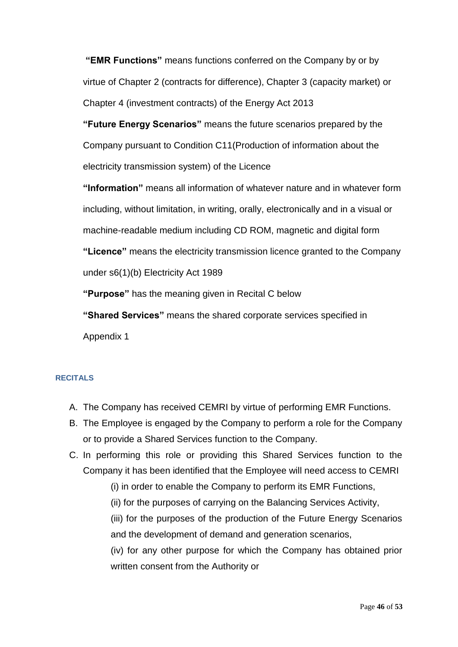**"EMR Functions"** means functions conferred on the Company by or by virtue of Chapter 2 (contracts for difference), Chapter 3 (capacity market) or Chapter 4 (investment contracts) of the Energy Act 2013

**"Future Energy Scenarios"** means the future scenarios prepared by the Company pursuant to Condition C11(Production of information about the electricity transmission system) of the Licence

**"Information"** means all information of whatever nature and in whatever form including, without limitation, in writing, orally, electronically and in a visual or machine-readable medium including CD ROM, magnetic and digital form **"Licence"** means the electricity transmission licence granted to the Company under s6(1)(b) Electricity Act 1989

**"Purpose"** has the meaning given in Recital C below

**"Shared Services"** means the shared corporate services specified in Appendix 1

## **RECITALS**

- A. The Company has received CEMRI by virtue of performing EMR Functions.
- B. The Employee is engaged by the Company to perform a role for the Company or to provide a Shared Services function to the Company.
- C. In performing this role or providing this Shared Services function to the Company it has been identified that the Employee will need access to CEMRI
	- (i) in order to enable the Company to perform its EMR Functions,
	- (ii) for the purposes of carrying on the Balancing Services Activity,

(iii) for the purposes of the production of the Future Energy Scenarios and the development of demand and generation scenarios,

(iv) for any other purpose for which the Company has obtained prior written consent from the Authority or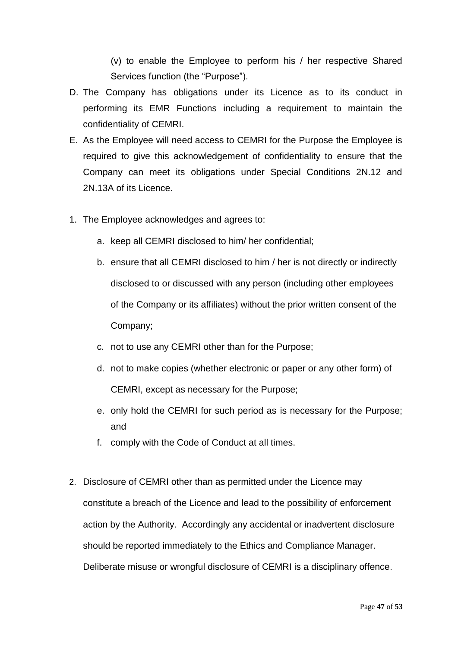(v) to enable the Employee to perform his / her respective Shared Services function (the "Purpose").

- D. The Company has obligations under its Licence as to its conduct in performing its EMR Functions including a requirement to maintain the confidentiality of CEMRI.
- E. As the Employee will need access to CEMRI for the Purpose the Employee is required to give this acknowledgement of confidentiality to ensure that the Company can meet its obligations under Special Conditions 2N.12 and 2N.13A of its Licence.
- 1. The Employee acknowledges and agrees to:
	- a. keep all CEMRI disclosed to him/ her confidential;
	- b. ensure that all CEMRI disclosed to him / her is not directly or indirectly disclosed to or discussed with any person (including other employees of the Company or its affiliates) without the prior written consent of the Company;
	- c. not to use any CEMRI other than for the Purpose;
	- d. not to make copies (whether electronic or paper or any other form) of CEMRI, except as necessary for the Purpose;
	- e. only hold the CEMRI for such period as is necessary for the Purpose; and
	- f. comply with the Code of Conduct at all times.
- 2. Disclosure of CEMRI other than as permitted under the Licence may constitute a breach of the Licence and lead to the possibility of enforcement action by the Authority. Accordingly any accidental or inadvertent disclosure should be reported immediately to the Ethics and Compliance Manager. Deliberate misuse or wrongful disclosure of CEMRI is a disciplinary offence.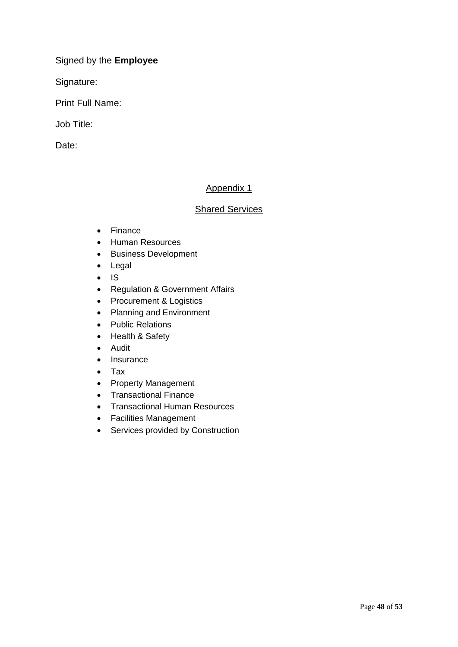Signed by the **Employee**

Signature:

Print Full Name:

Job Title:

Date:

## Appendix 1

## **Shared Services**

- Finance
- Human Resources
- **•** Business Development
- Legal
- $\cdot$  IS
- Regulation & Government Affairs
- Procurement & Logistics
- Planning and Environment
- Public Relations
- Health & Safety
- Audit
- Insurance
- Tax
- Property Management
- Transactional Finance
- Transactional Human Resources
- Facilities Management
- Services provided by Construction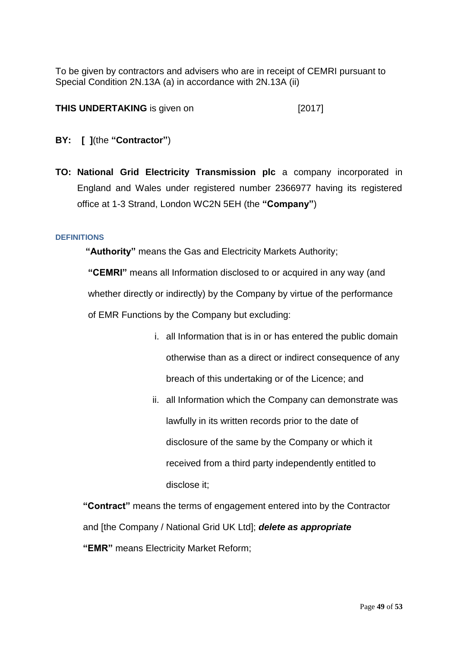To be given by contractors and advisers who are in receipt of CEMRI pursuant to Special Condition 2N.13A (a) in accordance with 2N.13A (ii)

## **THIS UNDERTAKING** is given on [2017]

- **BY: [ ]**(the **"Contractor"**)
- **TO: National Grid Electricity Transmission plc** a company incorporated in England and Wales under registered number 2366977 having its registered office at 1-3 Strand, London WC2N 5EH (the **"Company"**)

#### **DEFINITIONS**

**"Authority"** means the Gas and Electricity Markets Authority;

**"CEMRI"** means all Information disclosed to or acquired in any way (and whether directly or indirectly) by the Company by virtue of the performance of EMR Functions by the Company but excluding:

- i. all Information that is in or has entered the public domain otherwise than as a direct or indirect consequence of any breach of this undertaking or of the Licence; and
- ii. all Information which the Company can demonstrate was lawfully in its written records prior to the date of disclosure of the same by the Company or which it received from a third party independently entitled to disclose it;

**"Contract"** means the terms of engagement entered into by the Contractor and [the Company / National Grid UK Ltd]; *delete as appropriate*  **"EMR"** means Electricity Market Reform;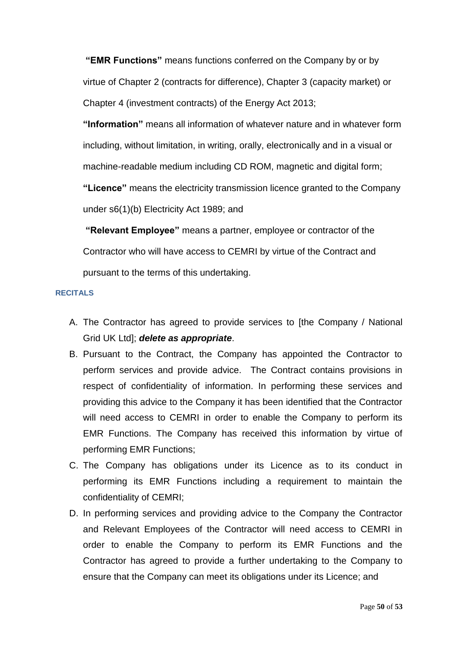**"EMR Functions"** means functions conferred on the Company by or by virtue of Chapter 2 (contracts for difference), Chapter 3 (capacity market) or Chapter 4 (investment contracts) of the Energy Act 2013;

**"Information"** means all information of whatever nature and in whatever form including, without limitation, in writing, orally, electronically and in a visual or machine-readable medium including CD ROM, magnetic and digital form;

**"Licence"** means the electricity transmission licence granted to the Company under s6(1)(b) Electricity Act 1989; and

**"Relevant Employee"** means a partner, employee or contractor of the Contractor who will have access to CEMRI by virtue of the Contract and pursuant to the terms of this undertaking.

#### **RECITALS**

- A. The Contractor has agreed to provide services to [the Company / National Grid UK Ltd]; *delete as appropriate*.
- B. Pursuant to the Contract, the Company has appointed the Contractor to perform services and provide advice. The Contract contains provisions in respect of confidentiality of information. In performing these services and providing this advice to the Company it has been identified that the Contractor will need access to CEMRI in order to enable the Company to perform its EMR Functions. The Company has received this information by virtue of performing EMR Functions;
- C. The Company has obligations under its Licence as to its conduct in performing its EMR Functions including a requirement to maintain the confidentiality of CEMRI;
- D. In performing services and providing advice to the Company the Contractor and Relevant Employees of the Contractor will need access to CEMRI in order to enable the Company to perform its EMR Functions and the Contractor has agreed to provide a further undertaking to the Company to ensure that the Company can meet its obligations under its Licence; and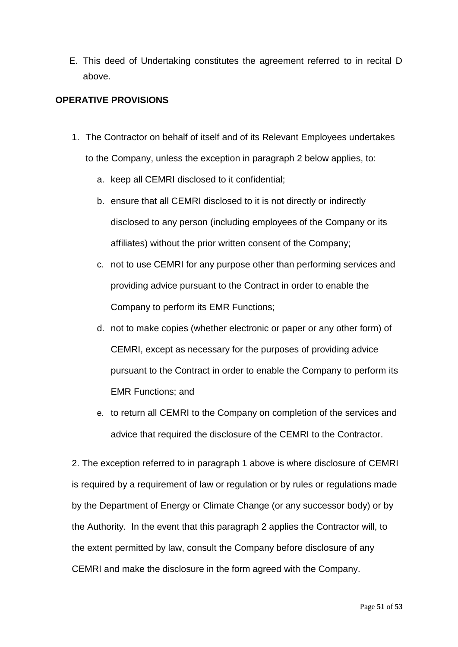E. This deed of Undertaking constitutes the agreement referred to in recital D above.

## **OPERATIVE PROVISIONS**

- 1. The Contractor on behalf of itself and of its Relevant Employees undertakes to the Company, unless the exception in paragraph 2 below applies, to:
	- a. keep all CEMRI disclosed to it confidential;
	- b. ensure that all CEMRI disclosed to it is not directly or indirectly disclosed to any person (including employees of the Company or its affiliates) without the prior written consent of the Company;
	- c. not to use CEMRI for any purpose other than performing services and providing advice pursuant to the Contract in order to enable the Company to perform its EMR Functions;
	- d. not to make copies (whether electronic or paper or any other form) of CEMRI, except as necessary for the purposes of providing advice pursuant to the Contract in order to enable the Company to perform its EMR Functions; and
	- e. to return all CEMRI to the Company on completion of the services and advice that required the disclosure of the CEMRI to the Contractor.

2. The exception referred to in paragraph 1 above is where disclosure of CEMRI is required by a requirement of law or regulation or by rules or regulations made by the Department of Energy or Climate Change (or any successor body) or by the Authority. In the event that this paragraph 2 applies the Contractor will, to the extent permitted by law, consult the Company before disclosure of any CEMRI and make the disclosure in the form agreed with the Company.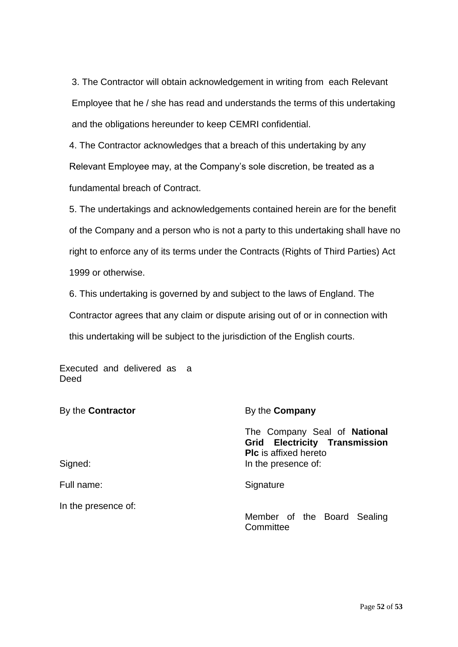3. The Contractor will obtain acknowledgement in writing from each Relevant Employee that he / she has read and understands the terms of this undertaking and the obligations hereunder to keep CEMRI confidential.

4. The Contractor acknowledges that a breach of this undertaking by any Relevant Employee may, at the Company's sole discretion, be treated as a fundamental breach of Contract.

5. The undertakings and acknowledgements contained herein are for the benefit of the Company and a person who is not a party to this undertaking shall have no right to enforce any of its terms under the Contracts (Rights of Third Parties) Act 1999 or otherwise.

6. This undertaking is governed by and subject to the laws of England. The Contractor agrees that any claim or dispute arising out of or in connection with this undertaking will be subject to the jurisdiction of the English courts.

Executed and delivered as a **Deed** 

| By the <b>Contractor</b> | By the <b>Company</b>                                                                                                       |  |  |  |
|--------------------------|-----------------------------------------------------------------------------------------------------------------------------|--|--|--|
| Signed:                  | The Company Seal of National<br><b>Grid Electricity Transmission</b><br><b>PIc</b> is affixed hereto<br>In the presence of: |  |  |  |
| Full name:               | Signature                                                                                                                   |  |  |  |
| In the presence of:      | Member of the Board Sealing<br>Committee                                                                                    |  |  |  |